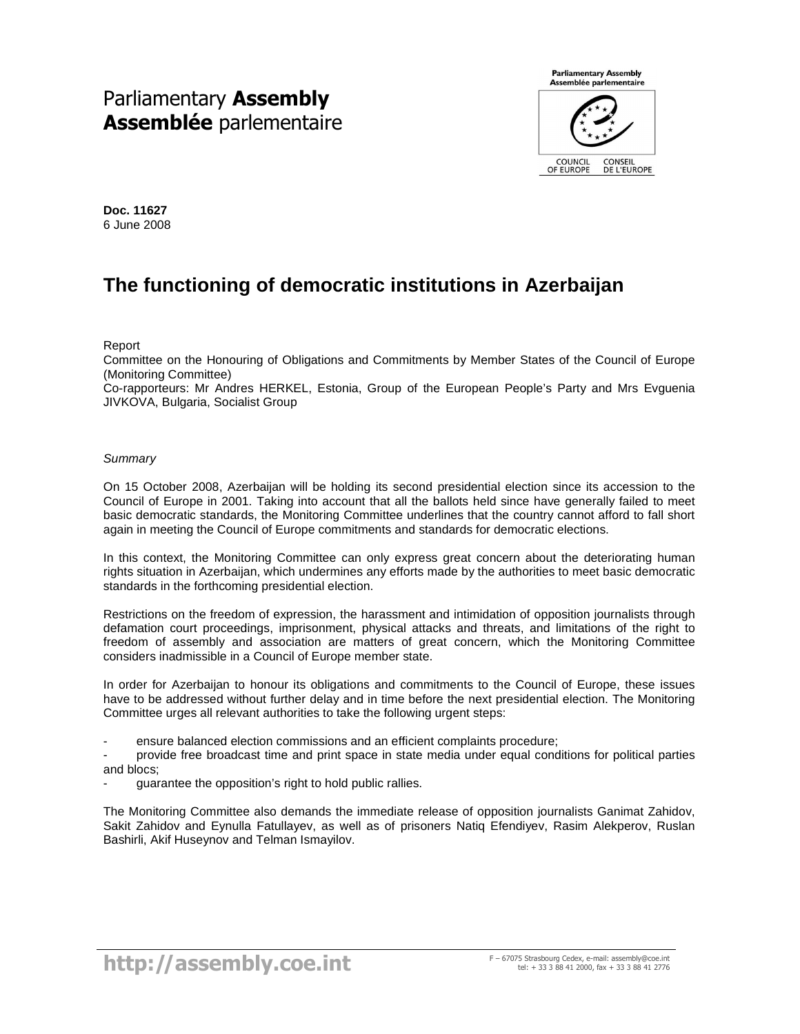# Parliamentary Assembly Assemblée parlementaire

**Parliamentary Assembly** Assemblée parlementaire

COUNCIL<br>OF EUROPE CONSEIL<br>DE L'EUROPE

**Doc. 11627**  6 June 2008

# **The functioning of democratic institutions in Azerbaijan**

Report

Committee on the Honouring of Obligations and Commitments by Member States of the Council of Europe (Monitoring Committee)

Co-rapporteurs: Mr Andres HERKEL, Estonia, Group of the European People's Party and Mrs Evguenia JIVKOVA, Bulgaria, Socialist Group

## **Summary**

On 15 October 2008, Azerbaijan will be holding its second presidential election since its accession to the Council of Europe in 2001. Taking into account that all the ballots held since have generally failed to meet basic democratic standards, the Monitoring Committee underlines that the country cannot afford to fall short again in meeting the Council of Europe commitments and standards for democratic elections.

In this context, the Monitoring Committee can only express great concern about the deteriorating human rights situation in Azerbaijan, which undermines any efforts made by the authorities to meet basic democratic standards in the forthcoming presidential election.

Restrictions on the freedom of expression, the harassment and intimidation of opposition journalists through defamation court proceedings, imprisonment, physical attacks and threats, and limitations of the right to freedom of assembly and association are matters of great concern, which the Monitoring Committee considers inadmissible in a Council of Europe member state.

In order for Azerbaijan to honour its obligations and commitments to the Council of Europe, these issues have to be addressed without further delay and in time before the next presidential election. The Monitoring Committee urges all relevant authorities to take the following urgent steps:

- ensure balanced election commissions and an efficient complaints procedure;

- provide free broadcast time and print space in state media under equal conditions for political parties and blocs;

guarantee the opposition's right to hold public rallies.

The Monitoring Committee also demands the immediate release of opposition journalists Ganimat Zahidov, Sakit Zahidov and Eynulla Fatullayev, as well as of prisoners Natiq Efendiyev, Rasim Alekperov, Ruslan Bashirli, Akif Huseynov and Telman Ismayilov.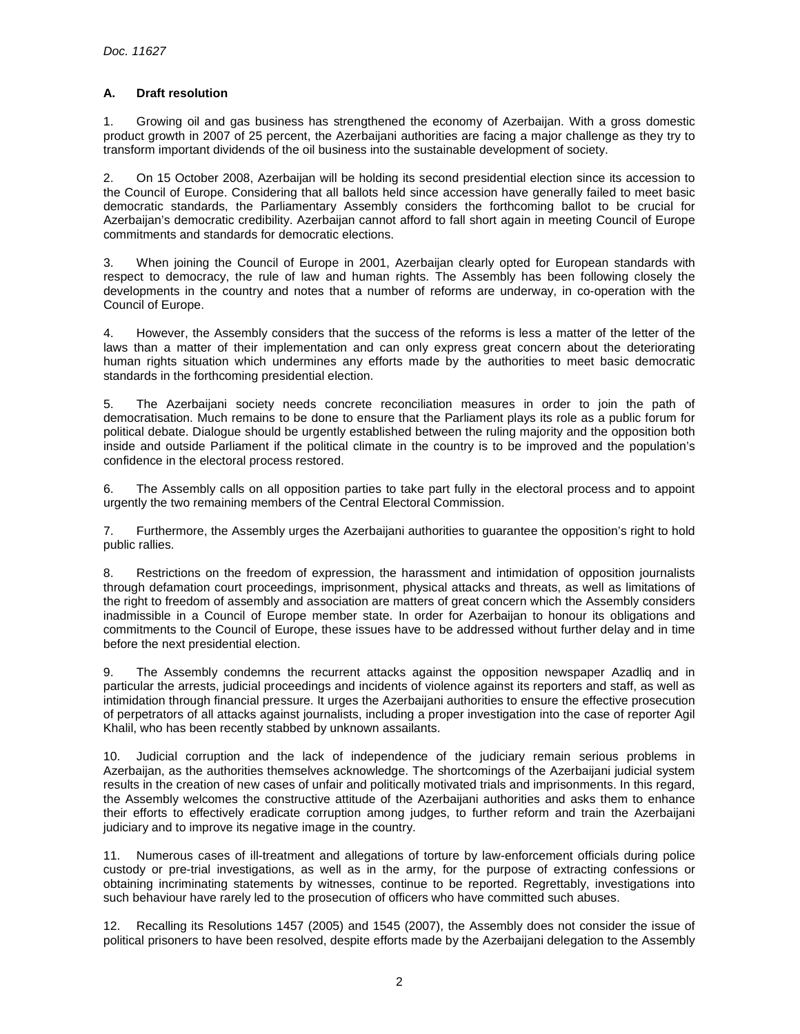# **A. Draft resolution**

1. Growing oil and gas business has strengthened the economy of Azerbaijan. With a gross domestic product growth in 2007 of 25 percent, the Azerbaijani authorities are facing a major challenge as they try to transform important dividends of the oil business into the sustainable development of society.

2. On 15 October 2008, Azerbaijan will be holding its second presidential election since its accession to the Council of Europe. Considering that all ballots held since accession have generally failed to meet basic democratic standards, the Parliamentary Assembly considers the forthcoming ballot to be crucial for Azerbaijan's democratic credibility. Azerbaijan cannot afford to fall short again in meeting Council of Europe commitments and standards for democratic elections.

3. When joining the Council of Europe in 2001, Azerbaijan clearly opted for European standards with respect to democracy, the rule of law and human rights. The Assembly has been following closely the developments in the country and notes that a number of reforms are underway, in co-operation with the Council of Europe.

4. However, the Assembly considers that the success of the reforms is less a matter of the letter of the laws than a matter of their implementation and can only express great concern about the deteriorating human rights situation which undermines any efforts made by the authorities to meet basic democratic standards in the forthcoming presidential election.

5. The Azerbaijani society needs concrete reconciliation measures in order to join the path of democratisation. Much remains to be done to ensure that the Parliament plays its role as a public forum for political debate. Dialogue should be urgently established between the ruling majority and the opposition both inside and outside Parliament if the political climate in the country is to be improved and the population's confidence in the electoral process restored.

6. The Assembly calls on all opposition parties to take part fully in the electoral process and to appoint urgently the two remaining members of the Central Electoral Commission.

7. Furthermore, the Assembly urges the Azerbaijani authorities to guarantee the opposition's right to hold public rallies.

8. Restrictions on the freedom of expression, the harassment and intimidation of opposition journalists through defamation court proceedings, imprisonment, physical attacks and threats, as well as limitations of the right to freedom of assembly and association are matters of great concern which the Assembly considers inadmissible in a Council of Europe member state. In order for Azerbaijan to honour its obligations and commitments to the Council of Europe, these issues have to be addressed without further delay and in time before the next presidential election.

9. The Assembly condemns the recurrent attacks against the opposition newspaper Azadliq and in particular the arrests, judicial proceedings and incidents of violence against its reporters and staff, as well as intimidation through financial pressure. It urges the Azerbaijani authorities to ensure the effective prosecution of perpetrators of all attacks against journalists, including a proper investigation into the case of reporter Agil Khalil, who has been recently stabbed by unknown assailants.

10. Judicial corruption and the lack of independence of the judiciary remain serious problems in Azerbaijan, as the authorities themselves acknowledge. The shortcomings of the Azerbaijani judicial system results in the creation of new cases of unfair and politically motivated trials and imprisonments. In this regard, the Assembly welcomes the constructive attitude of the Azerbaijani authorities and asks them to enhance their efforts to effectively eradicate corruption among judges, to further reform and train the Azerbaijani judiciary and to improve its negative image in the country.

11. Numerous cases of ill-treatment and allegations of torture by law-enforcement officials during police custody or pre-trial investigations, as well as in the army, for the purpose of extracting confessions or obtaining incriminating statements by witnesses, continue to be reported. Regrettably, investigations into such behaviour have rarely led to the prosecution of officers who have committed such abuses.

12. Recalling its Resolutions 1457 (2005) and 1545 (2007), the Assembly does not consider the issue of political prisoners to have been resolved, despite efforts made by the Azerbaijani delegation to the Assembly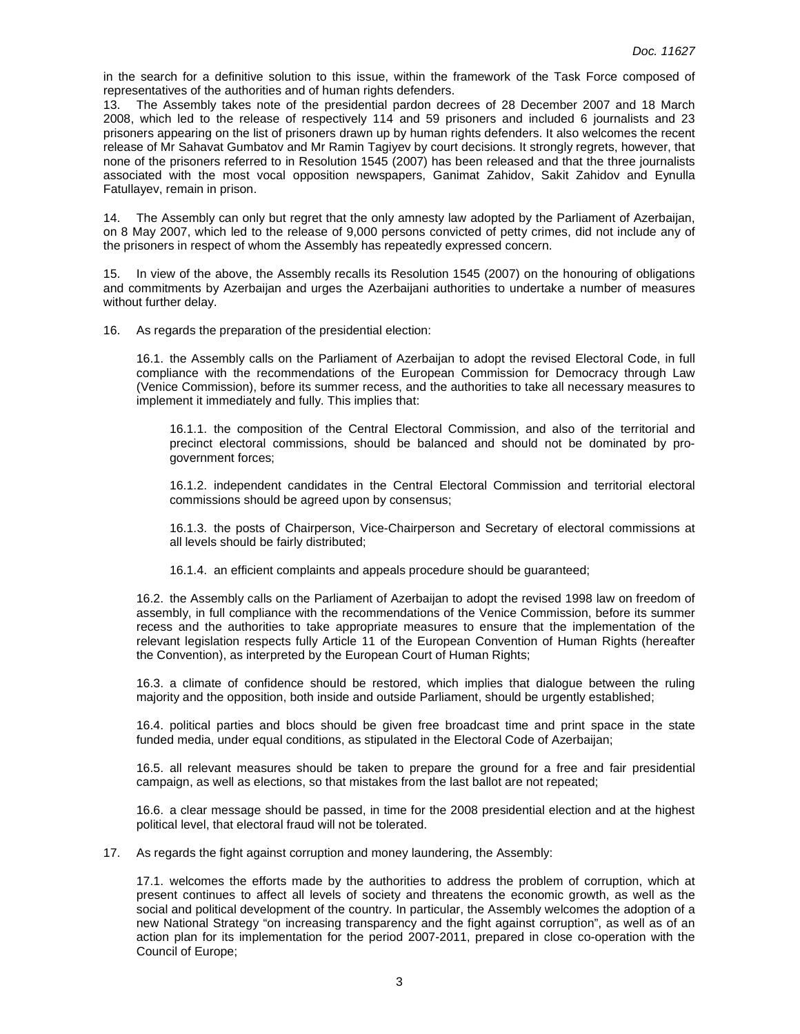in the search for a definitive solution to this issue, within the framework of the Task Force composed of representatives of the authorities and of human rights defenders.

13. The Assembly takes note of the presidential pardon decrees of 28 December 2007 and 18 March 2008, which led to the release of respectively 114 and 59 prisoners and included 6 journalists and 23 prisoners appearing on the list of prisoners drawn up by human rights defenders. It also welcomes the recent release of Mr Sahavat Gumbatov and Mr Ramin Tagiyev by court decisions. It strongly regrets, however, that none of the prisoners referred to in Resolution 1545 (2007) has been released and that the three journalists associated with the most vocal opposition newspapers, Ganimat Zahidov, Sakit Zahidov and Eynulla Fatullayev, remain in prison.

14. The Assembly can only but regret that the only amnesty law adopted by the Parliament of Azerbaijan, on 8 May 2007, which led to the release of 9,000 persons convicted of petty crimes, did not include any of the prisoners in respect of whom the Assembly has repeatedly expressed concern.

15. In view of the above, the Assembly recalls its Resolution 1545 (2007) on the honouring of obligations and commitments by Azerbaijan and urges the Azerbaijani authorities to undertake a number of measures without further delay.

16. As regards the preparation of the presidential election:

16.1. the Assembly calls on the Parliament of Azerbaijan to adopt the revised Electoral Code, in full compliance with the recommendations of the European Commission for Democracy through Law (Venice Commission), before its summer recess, and the authorities to take all necessary measures to implement it immediately and fully. This implies that:

16.1.1. the composition of the Central Electoral Commission, and also of the territorial and precinct electoral commissions, should be balanced and should not be dominated by progovernment forces;

16.1.2. independent candidates in the Central Electoral Commission and territorial electoral commissions should be agreed upon by consensus;

16.1.3. the posts of Chairperson, Vice-Chairperson and Secretary of electoral commissions at all levels should be fairly distributed;

16.1.4. an efficient complaints and appeals procedure should be guaranteed;

16.2. the Assembly calls on the Parliament of Azerbaijan to adopt the revised 1998 law on freedom of assembly, in full compliance with the recommendations of the Venice Commission, before its summer recess and the authorities to take appropriate measures to ensure that the implementation of the relevant legislation respects fully Article 11 of the European Convention of Human Rights (hereafter the Convention), as interpreted by the European Court of Human Rights;

16.3. a climate of confidence should be restored, which implies that dialogue between the ruling majority and the opposition, both inside and outside Parliament, should be urgently established;

16.4. political parties and blocs should be given free broadcast time and print space in the state funded media, under equal conditions, as stipulated in the Electoral Code of Azerbaijan;

16.5. all relevant measures should be taken to prepare the ground for a free and fair presidential campaign, as well as elections, so that mistakes from the last ballot are not repeated;

16.6. a clear message should be passed, in time for the 2008 presidential election and at the highest political level, that electoral fraud will not be tolerated.

17. As regards the fight against corruption and money laundering, the Assembly:

17.1. welcomes the efforts made by the authorities to address the problem of corruption, which at present continues to affect all levels of society and threatens the economic growth, as well as the social and political development of the country. In particular, the Assembly welcomes the adoption of a new National Strategy "on increasing transparency and the fight against corruption", as well as of an action plan for its implementation for the period 2007-2011, prepared in close co-operation with the Council of Europe;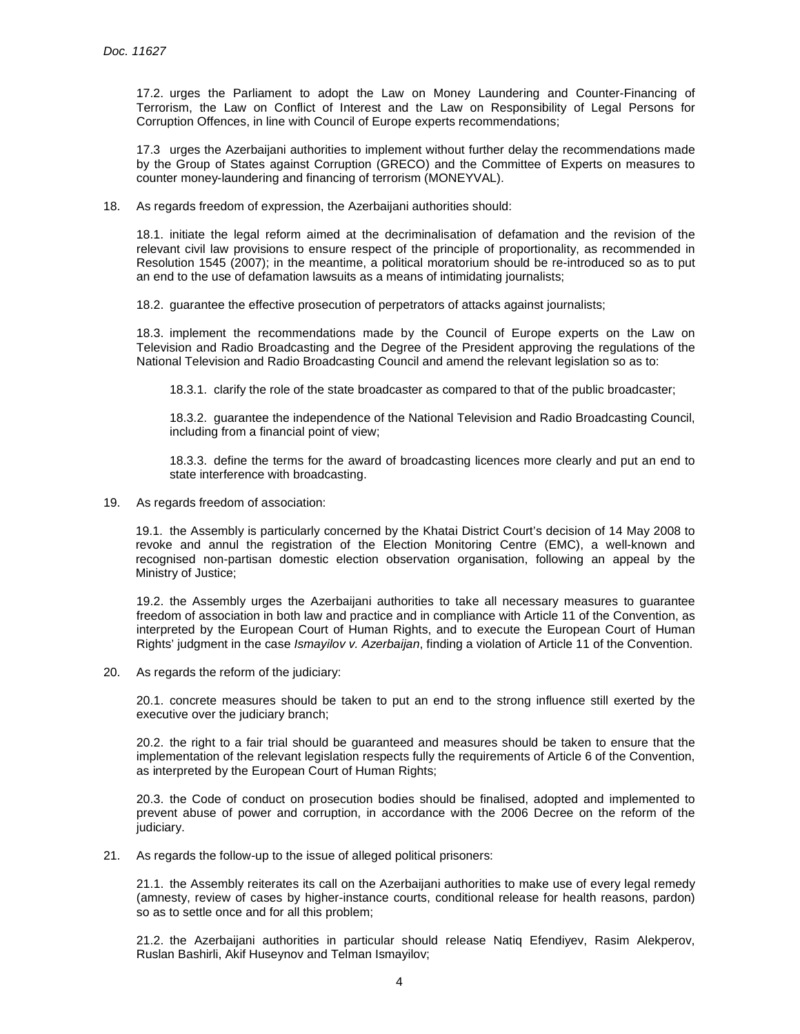17.2. urges the Parliament to adopt the Law on Money Laundering and Counter-Financing of Terrorism, the Law on Conflict of Interest and the Law on Responsibility of Legal Persons for Corruption Offences, in line with Council of Europe experts recommendations;

17.3 urges the Azerbaijani authorities to implement without further delay the recommendations made by the Group of States against Corruption (GRECO) and the Committee of Experts on measures to counter money-laundering and financing of terrorism (MONEYVAL).

18. As regards freedom of expression, the Azerbaijani authorities should:

18.1. initiate the legal reform aimed at the decriminalisation of defamation and the revision of the relevant civil law provisions to ensure respect of the principle of proportionality, as recommended in Resolution 1545 (2007); in the meantime, a political moratorium should be re-introduced so as to put an end to the use of defamation lawsuits as a means of intimidating journalists;

18.2. guarantee the effective prosecution of perpetrators of attacks against journalists;

18.3. implement the recommendations made by the Council of Europe experts on the Law on Television and Radio Broadcasting and the Degree of the President approving the regulations of the National Television and Radio Broadcasting Council and amend the relevant legislation so as to:

18.3.1. clarify the role of the state broadcaster as compared to that of the public broadcaster;

18.3.2. guarantee the independence of the National Television and Radio Broadcasting Council, including from a financial point of view;

18.3.3. define the terms for the award of broadcasting licences more clearly and put an end to state interference with broadcasting.

19. As regards freedom of association:

19.1. the Assembly is particularly concerned by the Khatai District Court's decision of 14 May 2008 to revoke and annul the registration of the Election Monitoring Centre (EMC), a well-known and recognised non-partisan domestic election observation organisation, following an appeal by the Ministry of Justice;

19.2. the Assembly urges the Azerbaijani authorities to take all necessary measures to guarantee freedom of association in both law and practice and in compliance with Article 11 of the Convention, as interpreted by the European Court of Human Rights, and to execute the European Court of Human Rights' judgment in the case *Ismayilov v. Azerbaijan*, finding a violation of Article 11 of the Convention.

20. As regards the reform of the judiciary:

20.1. concrete measures should be taken to put an end to the strong influence still exerted by the executive over the judiciary branch;

20.2. the right to a fair trial should be guaranteed and measures should be taken to ensure that the implementation of the relevant legislation respects fully the requirements of Article 6 of the Convention, as interpreted by the European Court of Human Rights;

20.3. the Code of conduct on prosecution bodies should be finalised, adopted and implemented to prevent abuse of power and corruption, in accordance with the 2006 Decree on the reform of the judiciary.

21. As regards the follow-up to the issue of alleged political prisoners:

21.1. the Assembly reiterates its call on the Azerbaijani authorities to make use of every legal remedy (amnesty, review of cases by higher-instance courts, conditional release for health reasons, pardon) so as to settle once and for all this problem;

21.2. the Azerbaijani authorities in particular should release Natiq Efendiyev, Rasim Alekperov, Ruslan Bashirli, Akif Huseynov and Telman Ismayilov;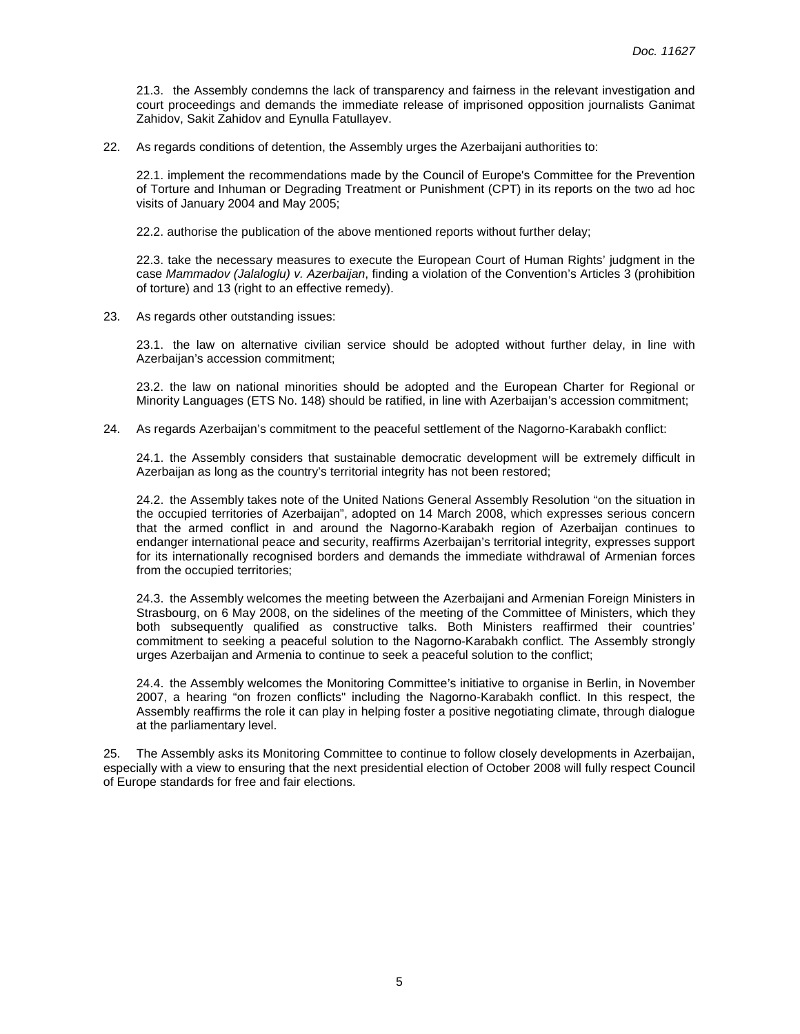21.3. the Assembly condemns the lack of transparency and fairness in the relevant investigation and court proceedings and demands the immediate release of imprisoned opposition journalists Ganimat Zahidov, Sakit Zahidov and Eynulla Fatullayev.

22. As regards conditions of detention, the Assembly urges the Azerbaijani authorities to:

22.1. implement the recommendations made by the Council of Europe's Committee for the Prevention of Torture and Inhuman or Degrading Treatment or Punishment (CPT) in its reports on the two ad hoc visits of January 2004 and May 2005;

22.2. authorise the publication of the above mentioned reports without further delay;

22.3. take the necessary measures to execute the European Court of Human Rights' judgment in the case Mammadov (Jalaloglu) v. Azerbaijan, finding a violation of the Convention's Articles 3 (prohibition of torture) and 13 (right to an effective remedy).

23. As regards other outstanding issues:

23.1. the law on alternative civilian service should be adopted without further delay, in line with Azerbaijan's accession commitment;

23.2. the law on national minorities should be adopted and the European Charter for Regional or Minority Languages (ETS No. 148) should be ratified, in line with Azerbaijan's accession commitment;

24. As regards Azerbaijan's commitment to the peaceful settlement of the Nagorno-Karabakh conflict:

24.1. the Assembly considers that sustainable democratic development will be extremely difficult in Azerbaijan as long as the country's territorial integrity has not been restored;

24.2. the Assembly takes note of the United Nations General Assembly Resolution "on the situation in the occupied territories of Azerbaijan", adopted on 14 March 2008, which expresses serious concern that the armed conflict in and around the Nagorno-Karabakh region of Azerbaijan continues to endanger international peace and security, reaffirms Azerbaijan's territorial integrity, expresses support for its internationally recognised borders and demands the immediate withdrawal of Armenian forces from the occupied territories;

24.3. the Assembly welcomes the meeting between the Azerbaijani and Armenian Foreign Ministers in Strasbourg, on 6 May 2008, on the sidelines of the meeting of the Committee of Ministers, which they both subsequently qualified as constructive talks. Both Ministers reaffirmed their countries' commitment to seeking a peaceful solution to the Nagorno-Karabakh conflict. The Assembly strongly urges Azerbaijan and Armenia to continue to seek a peaceful solution to the conflict;

24.4. the Assembly welcomes the Monitoring Committee's initiative to organise in Berlin, in November 2007, a hearing "on frozen conflicts" including the Nagorno-Karabakh conflict. In this respect, the Assembly reaffirms the role it can play in helping foster a positive negotiating climate, through dialogue at the parliamentary level.

25. The Assembly asks its Monitoring Committee to continue to follow closely developments in Azerbaijan, especially with a view to ensuring that the next presidential election of October 2008 will fully respect Council of Europe standards for free and fair elections.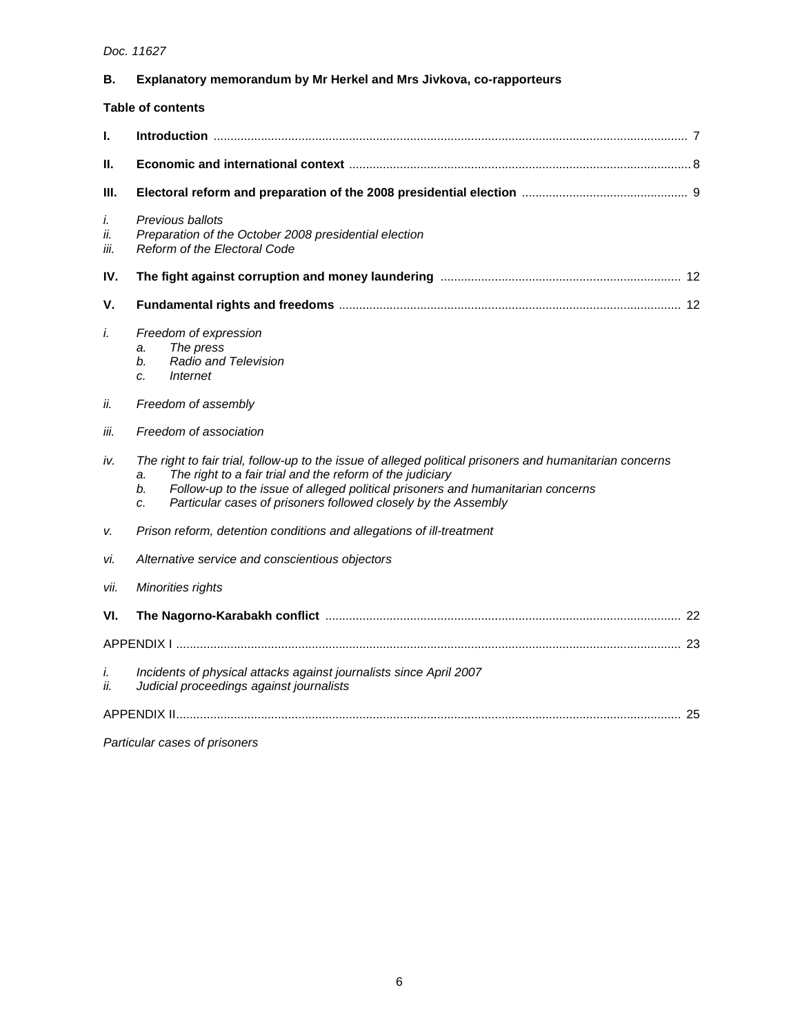# Doc. 11627

| В.                       | Explanatory memorandum by Mr Herkel and Mrs Jivkova, co-rapporteurs                                                                                                                                                                                                                                                                          |
|--------------------------|----------------------------------------------------------------------------------------------------------------------------------------------------------------------------------------------------------------------------------------------------------------------------------------------------------------------------------------------|
| <b>Table of contents</b> |                                                                                                                                                                                                                                                                                                                                              |
| L                        |                                                                                                                                                                                                                                                                                                                                              |
| Ш.                       |                                                                                                                                                                                                                                                                                                                                              |
| Ш.                       |                                                                                                                                                                                                                                                                                                                                              |
| i.<br>ii.<br>iii.        | Previous ballots<br>Preparation of the October 2008 presidential election<br>Reform of the Electoral Code                                                                                                                                                                                                                                    |
| IV.                      |                                                                                                                                                                                                                                                                                                                                              |
| v.                       |                                                                                                                                                                                                                                                                                                                                              |
| i.                       | Freedom of expression<br>The press<br>a.<br><b>Radio and Television</b><br>b.<br>Internet<br>C.                                                                                                                                                                                                                                              |
| ii.                      | Freedom of assembly                                                                                                                                                                                                                                                                                                                          |
| iii.                     | Freedom of association                                                                                                                                                                                                                                                                                                                       |
| iv.                      | The right to fair trial, follow-up to the issue of alleged political prisoners and humanitarian concerns<br>The right to a fair trial and the reform of the judiciary<br>a.<br>Follow-up to the issue of alleged political prisoners and humanitarian concerns<br>b.<br>Particular cases of prisoners followed closely by the Assembly<br>C. |
| v.                       | Prison reform, detention conditions and allegations of ill-treatment                                                                                                                                                                                                                                                                         |
| vi.                      | Alternative service and conscientious objectors                                                                                                                                                                                                                                                                                              |
| Vİİ.                     | Minorities rights                                                                                                                                                                                                                                                                                                                            |
| VI.                      |                                                                                                                                                                                                                                                                                                                                              |
|                          |                                                                                                                                                                                                                                                                                                                                              |
| i.<br>ii.                | Incidents of physical attacks against journalists since April 2007<br>Judicial proceedings against journalists                                                                                                                                                                                                                               |
|                          |                                                                                                                                                                                                                                                                                                                                              |

Particular cases of prisoners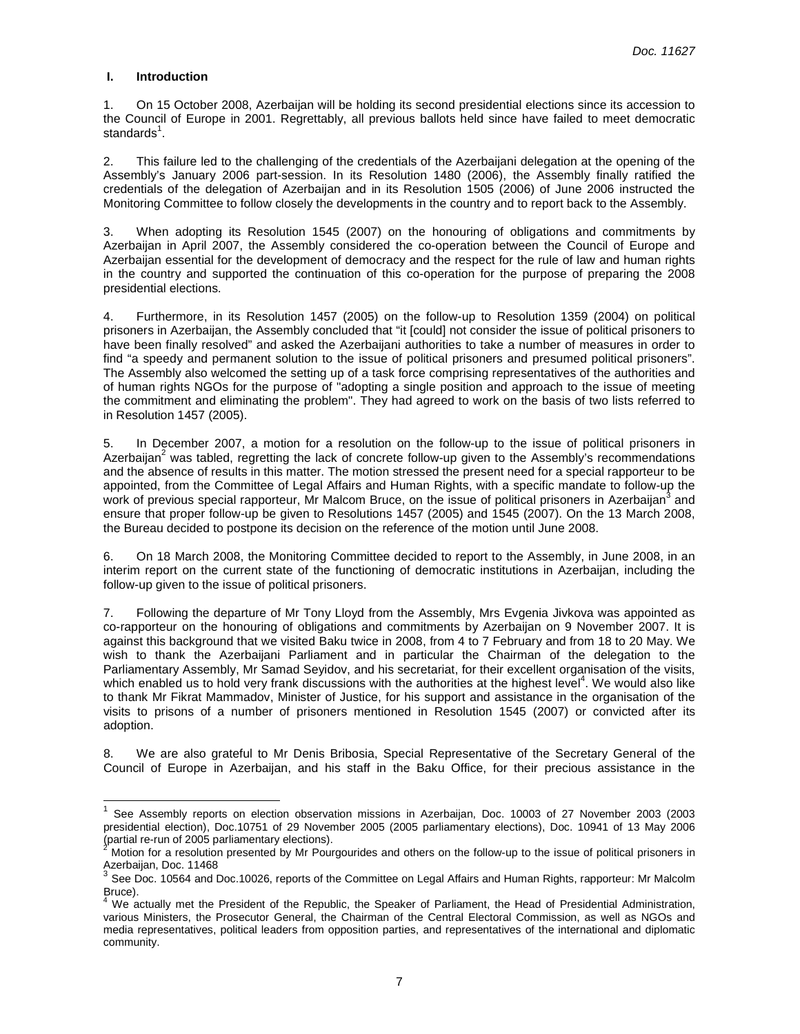# **I. Introduction**

 $\overline{a}$ 

1. On 15 October 2008, Azerbaijan will be holding its second presidential elections since its accession to the Council of Europe in 2001. Regrettably, all previous ballots held since have failed to meet democratic standards<sup>1</sup>.

2. This failure led to the challenging of the credentials of the Azerbaijani delegation at the opening of the Assembly's January 2006 part-session. In its Resolution 1480 (2006), the Assembly finally ratified the credentials of the delegation of Azerbaijan and in its Resolution 1505 (2006) of June 2006 instructed the Monitoring Committee to follow closely the developments in the country and to report back to the Assembly.

3. When adopting its Resolution 1545 (2007) on the honouring of obligations and commitments by Azerbaijan in April 2007, the Assembly considered the co-operation between the Council of Europe and Azerbaijan essential for the development of democracy and the respect for the rule of law and human rights in the country and supported the continuation of this co-operation for the purpose of preparing the 2008 presidential elections.

4. Furthermore, in its Resolution 1457 (2005) on the follow-up to Resolution 1359 (2004) on political prisoners in Azerbaijan, the Assembly concluded that "it [could] not consider the issue of political prisoners to have been finally resolved" and asked the Azerbaijani authorities to take a number of measures in order to find "a speedy and permanent solution to the issue of political prisoners and presumed political prisoners". The Assembly also welcomed the setting up of a task force comprising representatives of the authorities and of human rights NGOs for the purpose of "adopting a single position and approach to the issue of meeting the commitment and eliminating the problem". They had agreed to work on the basis of two lists referred to in Resolution 1457 (2005).

5. In December 2007, a motion for a resolution on the follow-up to the issue of political prisoners in Azerbaijan<sup>2</sup> was tabled, regretting the lack of concrete follow-up given to the Assembly's recommendations and the absence of results in this matter. The motion stressed the present need for a special rapporteur to be appointed, from the Committee of Legal Affairs and Human Rights, with a specific mandate to follow-up the work of previous special rapporteur, Mr Malcom Bruce, on the issue of political prisoners in Azerbaijan<sup>3</sup> and ensure that proper follow-up be given to Resolutions 1457 (2005) and 1545 (2007). On the 13 March 2008, the Bureau decided to postpone its decision on the reference of the motion until June 2008.

6. On 18 March 2008, the Monitoring Committee decided to report to the Assembly, in June 2008, in an interim report on the current state of the functioning of democratic institutions in Azerbaijan, including the follow-up given to the issue of political prisoners.

7. Following the departure of Mr Tony Lloyd from the Assembly, Mrs Evgenia Jivkova was appointed as co-rapporteur on the honouring of obligations and commitments by Azerbaijan on 9 November 2007. It is against this background that we visited Baku twice in 2008, from 4 to 7 February and from 18 to 20 May. We wish to thank the Azerbaijani Parliament and in particular the Chairman of the delegation to the Parliamentary Assembly, Mr Samad Seyidov, and his secretariat, for their excellent organisation of the visits, which enabled us to hold very frank discussions with the authorities at the highest level<sup>4</sup>. We would also like to thank Mr Fikrat Mammadov, Minister of Justice, for his support and assistance in the organisation of the visits to prisons of a number of prisoners mentioned in Resolution 1545 (2007) or convicted after its adoption.

8. We are also grateful to Mr Denis Bribosia, Special Representative of the Secretary General of the Council of Europe in Azerbaijan, and his staff in the Baku Office, for their precious assistance in the

<sup>1</sup> See Assembly reports on election observation missions in Azerbaijan, Doc. 10003 of 27 November 2003 (2003 presidential election), Doc.10751 of 29 November 2005 (2005 parliamentary elections), Doc. 10941 of 13 May 2006 (partial re-run of 2005 parliamentary elections). 2

Motion for a resolution presented by Mr Pourgourides and others on the follow-up to the issue of political prisoners in Azerbaijan, Doc. 11468

 $3$  See Doc. 10564 and Doc.10026, reports of the Committee on Legal Affairs and Human Rights, rapporteur: Mr Malcolm Bruce).

<sup>4</sup> We actually met the President of the Republic, the Speaker of Parliament, the Head of Presidential Administration, various Ministers, the Prosecutor General, the Chairman of the Central Electoral Commission, as well as NGOs and media representatives, political leaders from opposition parties, and representatives of the international and diplomatic community.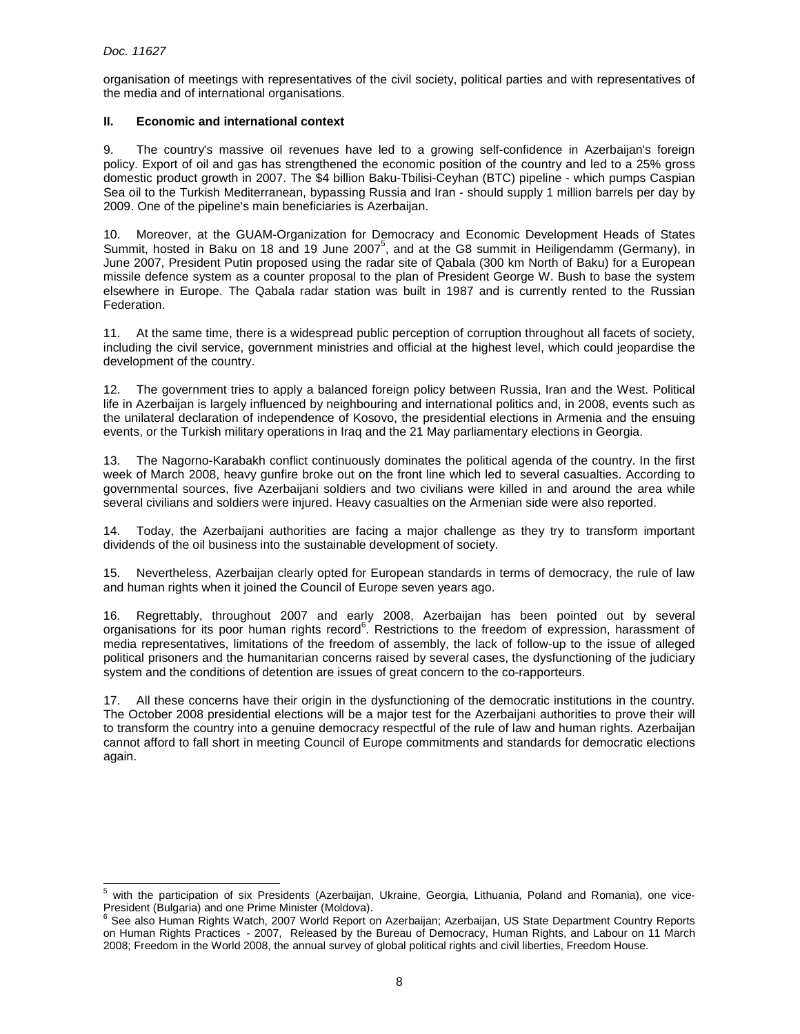organisation of meetings with representatives of the civil society, political parties and with representatives of the media and of international organisations.

# **II. Economic and international context**

9. The country's massive oil revenues have led to a growing self-confidence in Azerbaijan's foreign policy. Export of oil and gas has strengthened the economic position of the country and led to a 25% gross domestic product growth in 2007. The \$4 billion Baku-Tbilisi-Ceyhan (BTC) pipeline - which pumps Caspian Sea oil to the Turkish Mediterranean, bypassing Russia and Iran - should supply 1 million barrels per day by 2009. One of the pipeline's main beneficiaries is Azerbaijan.

10. Moreover, at the GUAM-Organization for Democracy and Economic Development Heads of States Summit, hosted in Baku on 18 and 19 June 2007<sup>5</sup>, and at the G8 summit in Heiligendamm (Germany), in June 2007, President Putin proposed using the radar site of Qabala (300 km North of Baku) for a European missile defence system as a counter proposal to the plan of President George W. Bush to base the system elsewhere in Europe. The Qabala radar station was built in 1987 and is currently rented to the Russian Federation.

11. At the same time, there is a widespread public perception of corruption throughout all facets of society, including the civil service, government ministries and official at the highest level, which could jeopardise the development of the country.

12. The government tries to apply a balanced foreign policy between Russia, Iran and the West. Political life in Azerbaijan is largely influenced by neighbouring and international politics and, in 2008, events such as the unilateral declaration of independence of Kosovo, the presidential elections in Armenia and the ensuing events, or the Turkish military operations in Iraq and the 21 May parliamentary elections in Georgia.

13. The Nagorno-Karabakh conflict continuously dominates the political agenda of the country. In the first week of March 2008, heavy gunfire broke out on the front line which led to several casualties. According to governmental sources, five Azerbaijani soldiers and two civilians were killed in and around the area while several civilians and soldiers were injured. Heavy casualties on the Armenian side were also reported.

14. Today, the Azerbaijani authorities are facing a major challenge as they try to transform important dividends of the oil business into the sustainable development of society.

15. Nevertheless, Azerbaijan clearly opted for European standards in terms of democracy, the rule of law and human rights when it joined the Council of Europe seven years ago.

16. Regrettably, throughout 2007 and early 2008, Azerbaijan has been pointed out by several organisations for its poor human rights record<sup>6</sup>. Restrictions to the freedom of expression, harassment of media representatives, limitations of the freedom of assembly, the lack of follow-up to the issue of alleged political prisoners and the humanitarian concerns raised by several cases, the dysfunctioning of the judiciary system and the conditions of detention are issues of great concern to the co-rapporteurs.

17. All these concerns have their origin in the dysfunctioning of the democratic institutions in the country. The October 2008 presidential elections will be a major test for the Azerbaijani authorities to prove their will to transform the country into a genuine democracy respectful of the rule of law and human rights. Azerbaijan cannot afford to fall short in meeting Council of Europe commitments and standards for democratic elections again.

<sup>-&</sup>lt;br>5 with the participation of six Presidents (Azerbaijan, Ukraine, Georgia, Lithuania, Poland and Romania), one vice-President (Bulgaria) and one Prime Minister (Moldova).

<sup>6</sup> See also Human Rights Watch, 2007 World Report on Azerbaijan; Azerbaijan, US State Department Country Reports on Human Rights Practices - 2007, Released by the Bureau of Democracy, Human Rights, and Labour on 11 March 2008; Freedom in the World 2008, the annual survey of global political rights and civil liberties, Freedom House.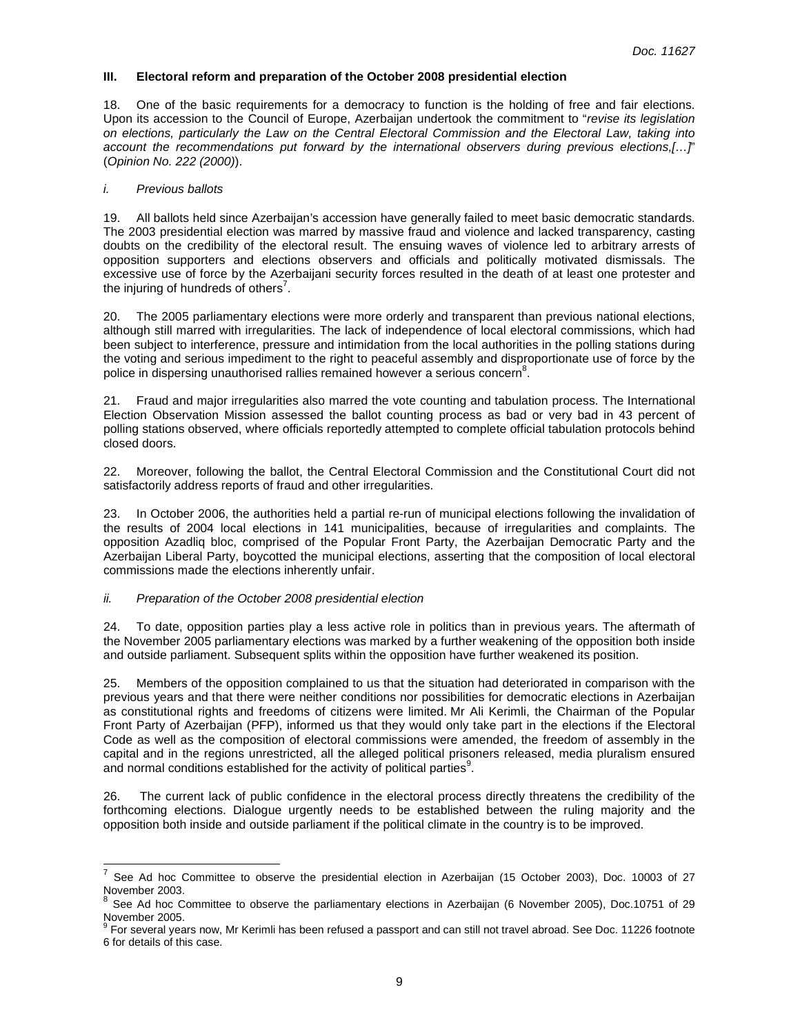# **III. Electoral reform and preparation of the October 2008 presidential election**

18. One of the basic requirements for a democracy to function is the holding of free and fair elections. Upon its accession to the Council of Europe, Azerbaijan undertook the commitment to "revise its legislation on elections, particularly the Law on the Central Electoral Commission and the Electoral Law, taking into account the recommendations put forward by the international observers during previous elections,[…]" (Opinion No. 222 (2000)).

#### i. Previous ballots

19. All ballots held since Azerbaijan's accession have generally failed to meet basic democratic standards. The 2003 presidential election was marred by massive fraud and violence and lacked transparency, casting doubts on the credibility of the electoral result. The ensuing waves of violence led to arbitrary arrests of opposition supporters and elections observers and officials and politically motivated dismissals. The excessive use of force by the Azerbaijani security forces resulted in the death of at least one protester and the injuring of hundreds of others<sup>7</sup>.

20. The 2005 parliamentary elections were more orderly and transparent than previous national elections, although still marred with irregularities. The lack of independence of local electoral commissions, which had been subject to interference, pressure and intimidation from the local authorities in the polling stations during the voting and serious impediment to the right to peaceful assembly and disproportionate use of force by the police in dispersing unauthorised rallies remained however a serious concern<sup>8</sup>.

21. Fraud and major irregularities also marred the vote counting and tabulation process. The International Election Observation Mission assessed the ballot counting process as bad or very bad in 43 percent of polling stations observed, where officials reportedly attempted to complete official tabulation protocols behind closed doors.

22. Moreover, following the ballot, the Central Electoral Commission and the Constitutional Court did not satisfactorily address reports of fraud and other irregularities.

23. In October 2006, the authorities held a partial re-run of municipal elections following the invalidation of the results of 2004 local elections in 141 municipalities, because of irregularities and complaints. The opposition Azadliq bloc, comprised of the Popular Front Party, the Azerbaijan Democratic Party and the Azerbaijan Liberal Party, boycotted the municipal elections, asserting that the composition of local electoral commissions made the elections inherently unfair.

#### ii. Preparation of the October 2008 presidential election

24. To date, opposition parties play a less active role in politics than in previous years. The aftermath of the November 2005 parliamentary elections was marked by a further weakening of the opposition both inside and outside parliament. Subsequent splits within the opposition have further weakened its position.

25. Members of the opposition complained to us that the situation had deteriorated in comparison with the previous years and that there were neither conditions nor possibilities for democratic elections in Azerbaijan as constitutional rights and freedoms of citizens were limited. Mr Ali Kerimli, the Chairman of the Popular Front Party of Azerbaijan (PFP), informed us that they would only take part in the elections if the Electoral Code as well as the composition of electoral commissions were amended, the freedom of assembly in the capital and in the regions unrestricted, all the alleged political prisoners released, media pluralism ensured and normal conditions established for the activity of political parties<sup>9</sup>.

26. The current lack of public confidence in the electoral process directly threatens the credibility of the forthcoming elections. Dialogue urgently needs to be established between the ruling majority and the opposition both inside and outside parliament if the political climate in the country is to be improved.

<sup>—&</sup>lt;br>7 See Ad hoc Committee to observe the presidential election in Azerbaijan (15 October 2003), Doc. 10003 of 27 November 2003.

<sup>&</sup>lt;sup>8</sup> See Ad hoc Committee to observe the parliamentary elections in Azerbaijan (6 November 2005), Doc.10751 of 29 November 2005.

<sup>&</sup>lt;sup>9</sup> For several years now, Mr Kerimli has been refused a passport and can still not travel abroad. See Doc. 11226 footnote 6 for details of this case.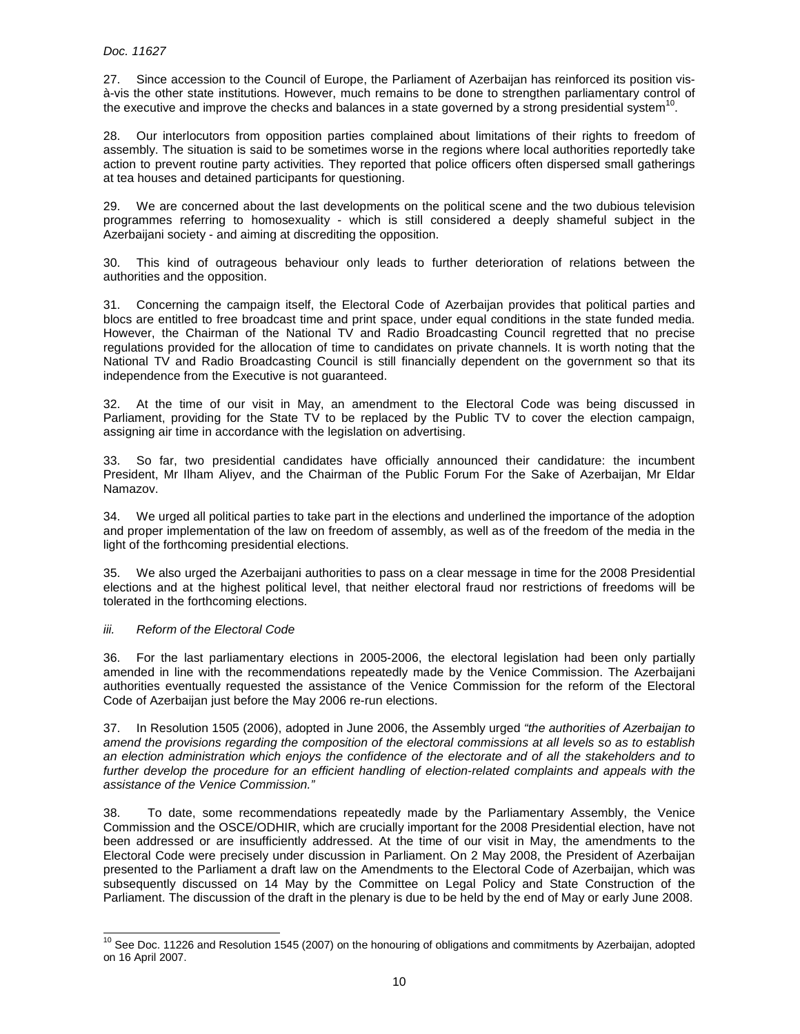27. Since accession to the Council of Europe, the Parliament of Azerbaijan has reinforced its position visà-vis the other state institutions. However, much remains to be done to strengthen parliamentary control of the executive and improve the checks and balances in a state governed by a strong presidential system<sup>10</sup>.

28. Our interlocutors from opposition parties complained about limitations of their rights to freedom of assembly. The situation is said to be sometimes worse in the regions where local authorities reportedly take action to prevent routine party activities. They reported that police officers often dispersed small gatherings at tea houses and detained participants for questioning.

29. We are concerned about the last developments on the political scene and the two dubious television programmes referring to homosexuality - which is still considered a deeply shameful subject in the Azerbaijani society - and aiming at discrediting the opposition.

30. This kind of outrageous behaviour only leads to further deterioration of relations between the authorities and the opposition.

31. Concerning the campaign itself, the Electoral Code of Azerbaijan provides that political parties and blocs are entitled to free broadcast time and print space, under equal conditions in the state funded media. However, the Chairman of the National TV and Radio Broadcasting Council regretted that no precise regulations provided for the allocation of time to candidates on private channels. It is worth noting that the National TV and Radio Broadcasting Council is still financially dependent on the government so that its independence from the Executive is not guaranteed.

32. At the time of our visit in May, an amendment to the Electoral Code was being discussed in Parliament, providing for the State TV to be replaced by the Public TV to cover the election campaign, assigning air time in accordance with the legislation on advertising.

33. So far, two presidential candidates have officially announced their candidature: the incumbent President, Mr Ilham Aliyev, and the Chairman of the Public Forum For the Sake of Azerbaijan, Mr Eldar Namazov.

34. We urged all political parties to take part in the elections and underlined the importance of the adoption and proper implementation of the law on freedom of assembly, as well as of the freedom of the media in the light of the forthcoming presidential elections.

35. We also urged the Azerbaijani authorities to pass on a clear message in time for the 2008 Presidential elections and at the highest political level, that neither electoral fraud nor restrictions of freedoms will be tolerated in the forthcoming elections.

#### iii. Reform of the Electoral Code

 $\overline{a}$ 

36. For the last parliamentary elections in 2005-2006, the electoral legislation had been only partially amended in line with the recommendations repeatedly made by the Venice Commission. The Azerbaijani authorities eventually requested the assistance of the Venice Commission for the reform of the Electoral Code of Azerbaijan just before the May 2006 re-run elections.

37. In Resolution 1505 (2006), adopted in June 2006, the Assembly urged "the authorities of Azerbaijan to amend the provisions regarding the composition of the electoral commissions at all levels so as to establish an election administration which enjoys the confidence of the electorate and of all the stakeholders and to further develop the procedure for an efficient handling of election-related complaints and appeals with the assistance of the Venice Commission."

38. To date, some recommendations repeatedly made by the Parliamentary Assembly, the Venice Commission and the OSCE/ODHIR, which are crucially important for the 2008 Presidential election, have not been addressed or are insufficiently addressed. At the time of our visit in May, the amendments to the Electoral Code were precisely under discussion in Parliament. On 2 May 2008, the President of Azerbaijan presented to the Parliament a draft law on the Amendments to the Electoral Code of Azerbaijan, which was subsequently discussed on 14 May by the Committee on Legal Policy and State Construction of the Parliament. The discussion of the draft in the plenary is due to be held by the end of May or early June 2008.

<sup>&</sup>lt;sup>10</sup> See Doc. 11226 and Resolution 1545 (2007) on the honouring of obligations and commitments by Azerbaijan, adopted on 16 April 2007.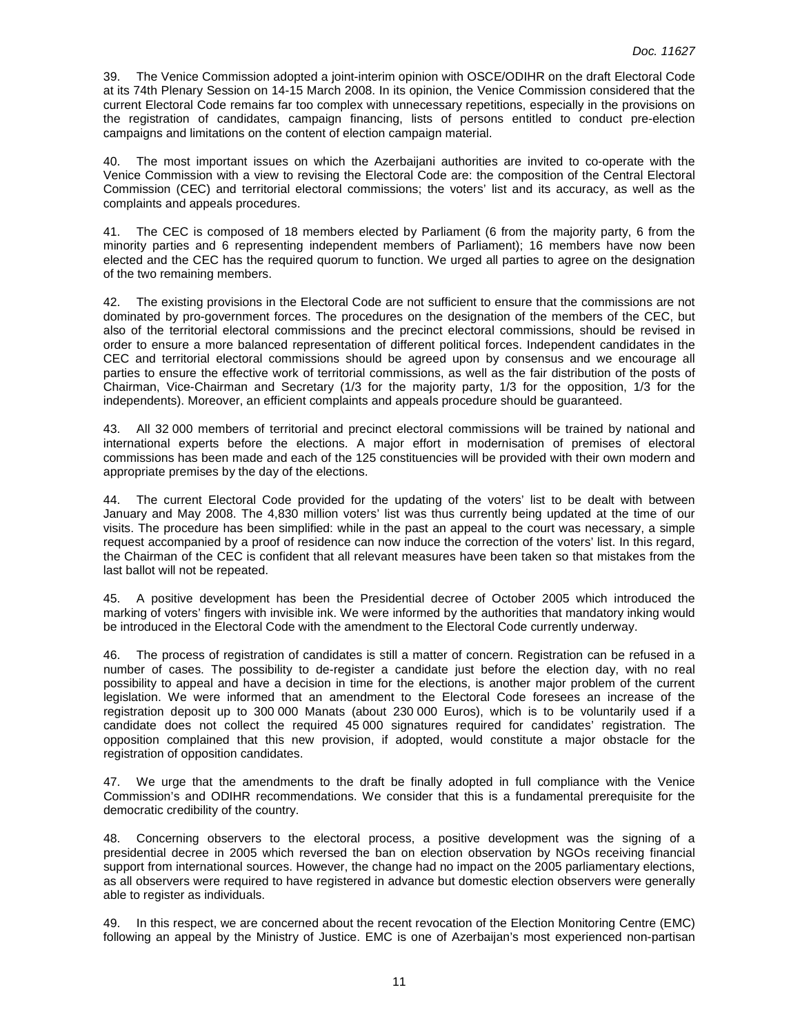39. The Venice Commission adopted a joint-interim opinion with OSCE/ODIHR on the draft Electoral Code at its 74th Plenary Session on 14-15 March 2008. In its opinion, the Venice Commission considered that the current Electoral Code remains far too complex with unnecessary repetitions, especially in the provisions on the registration of candidates, campaign financing, lists of persons entitled to conduct pre-election campaigns and limitations on the content of election campaign material.

40. The most important issues on which the Azerbaijani authorities are invited to co-operate with the Venice Commission with a view to revising the Electoral Code are: the composition of the Central Electoral Commission (CEC) and territorial electoral commissions; the voters' list and its accuracy, as well as the complaints and appeals procedures.

41. The CEC is composed of 18 members elected by Parliament (6 from the majority party, 6 from the minority parties and 6 representing independent members of Parliament); 16 members have now been elected and the CEC has the required quorum to function. We urged all parties to agree on the designation of the two remaining members.

42. The existing provisions in the Electoral Code are not sufficient to ensure that the commissions are not dominated by pro-government forces. The procedures on the designation of the members of the CEC, but also of the territorial electoral commissions and the precinct electoral commissions, should be revised in order to ensure a more balanced representation of different political forces. Independent candidates in the CEC and territorial electoral commissions should be agreed upon by consensus and we encourage all parties to ensure the effective work of territorial commissions, as well as the fair distribution of the posts of Chairman, Vice-Chairman and Secretary (1/3 for the majority party, 1/3 for the opposition, 1/3 for the independents). Moreover, an efficient complaints and appeals procedure should be guaranteed.

43. All 32 000 members of territorial and precinct electoral commissions will be trained by national and international experts before the elections. A major effort in modernisation of premises of electoral commissions has been made and each of the 125 constituencies will be provided with their own modern and appropriate premises by the day of the elections.

44. The current Electoral Code provided for the updating of the voters' list to be dealt with between January and May 2008. The 4,830 million voters' list was thus currently being updated at the time of our visits. The procedure has been simplified: while in the past an appeal to the court was necessary, a simple request accompanied by a proof of residence can now induce the correction of the voters' list. In this regard, the Chairman of the CEC is confident that all relevant measures have been taken so that mistakes from the last ballot will not be repeated.

45. A positive development has been the Presidential decree of October 2005 which introduced the marking of voters' fingers with invisible ink. We were informed by the authorities that mandatory inking would be introduced in the Electoral Code with the amendment to the Electoral Code currently underway.

46. The process of registration of candidates is still a matter of concern. Registration can be refused in a number of cases. The possibility to de-register a candidate just before the election day, with no real possibility to appeal and have a decision in time for the elections, is another major problem of the current legislation. We were informed that an amendment to the Electoral Code foresees an increase of the registration deposit up to 300 000 Manats (about 230 000 Euros), which is to be voluntarily used if a candidate does not collect the required 45 000 signatures required for candidates' registration. The opposition complained that this new provision, if adopted, would constitute a major obstacle for the registration of opposition candidates.

47. We urge that the amendments to the draft be finally adopted in full compliance with the Venice Commission's and ODIHR recommendations. We consider that this is a fundamental prerequisite for the democratic credibility of the country.

48. Concerning observers to the electoral process, a positive development was the signing of a presidential decree in 2005 which reversed the ban on election observation by NGOs receiving financial support from international sources. However, the change had no impact on the 2005 parliamentary elections, as all observers were required to have registered in advance but domestic election observers were generally able to register as individuals.

49. In this respect, we are concerned about the recent revocation of the Election Monitoring Centre (EMC) following an appeal by the Ministry of Justice. EMC is one of Azerbaijan's most experienced non-partisan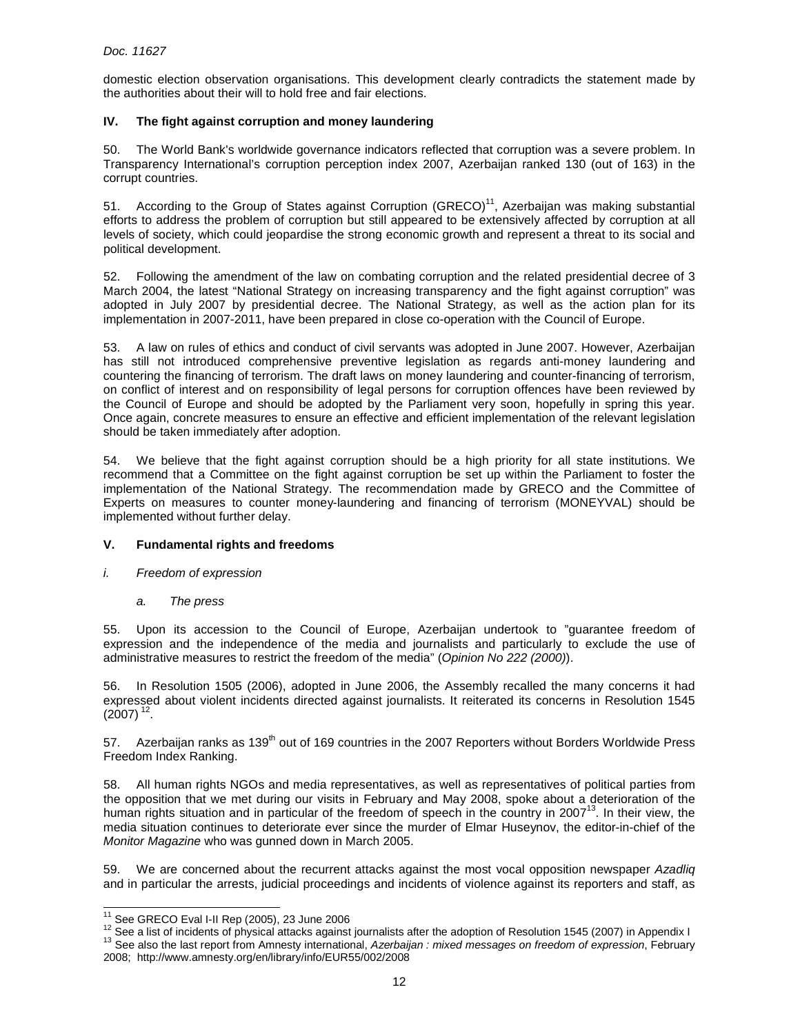domestic election observation organisations. This development clearly contradicts the statement made by the authorities about their will to hold free and fair elections.

# **IV. The fight against corruption and money laundering**

50. The World Bank's worldwide governance indicators reflected that corruption was a severe problem. In Transparency International's corruption perception index 2007, Azerbaijan ranked 130 (out of 163) in the corrupt countries.

51. According to the Group of States against Corruption (GRECO)<sup>11</sup>, Azerbaijan was making substantial efforts to address the problem of corruption but still appeared to be extensively affected by corruption at all levels of society, which could jeopardise the strong economic growth and represent a threat to its social and political development.

52. Following the amendment of the law on combating corruption and the related presidential decree of 3 March 2004, the latest "National Strategy on increasing transparency and the fight against corruption" was adopted in July 2007 by presidential decree. The National Strategy, as well as the action plan for its implementation in 2007-2011, have been prepared in close co-operation with the Council of Europe.

53. A law on rules of ethics and conduct of civil servants was adopted in June 2007. However, Azerbaijan has still not introduced comprehensive preventive legislation as regards anti-money laundering and countering the financing of terrorism. The draft laws on money laundering and counter-financing of terrorism, on conflict of interest and on responsibility of legal persons for corruption offences have been reviewed by the Council of Europe and should be adopted by the Parliament very soon, hopefully in spring this year. Once again, concrete measures to ensure an effective and efficient implementation of the relevant legislation should be taken immediately after adoption.

54. We believe that the fight against corruption should be a high priority for all state institutions. We recommend that a Committee on the fight against corruption be set up within the Parliament to foster the implementation of the National Strategy. The recommendation made by GRECO and the Committee of Experts on measures to counter money-laundering and financing of terrorism (MONEYVAL) should be implemented without further delay.

# **V. Fundamental rights and freedoms**

- i. Freedom of expression
	- a. The press

55. Upon its accession to the Council of Europe, Azerbaijan undertook to "guarantee freedom of expression and the independence of the media and journalists and particularly to exclude the use of administrative measures to restrict the freedom of the media" (Opinion No 222 (2000)).

56. In Resolution 1505 (2006), adopted in June 2006, the Assembly recalled the many concerns it had expressed about violent incidents directed against journalists. It reiterated its concerns in Resolution 1545  $(2007)^{12}$ .

57. Azerbaijan ranks as 139<sup>th</sup> out of 169 countries in the 2007 Reporters without Borders Worldwide Press Freedom Index Ranking.

58. All human rights NGOs and media representatives, as well as representatives of political parties from the opposition that we met during our visits in February and May 2008, spoke about a deterioration of the human rights situation and in particular of the freedom of speech in the country in 2007<sup>13</sup>. In their view, the media situation continues to deteriorate ever since the murder of Elmar Huseynov, the editor-in-chief of the Monitor Magazine who was gunned down in March 2005.

59. We are concerned about the recurrent attacks against the most vocal opposition newspaper Azadliq and in particular the arrests, judicial proceedings and incidents of violence against its reporters and staff, as

 $\overline{a}$ 

 $11$  See GRECO Eval I-II Rep (2005), 23 June 2006

<sup>&</sup>lt;sup>12</sup> See a list of incidents of physical attacks against journalists after the adoption of Resolution 1545 (2007) in Appendix I <sup>13</sup> See also the last report from Amnesty international, Azerbaijan : mixed messages on freedom of expression, February

<sup>2008;</sup> http://www.amnesty.org/en/library/info/EUR55/002/2008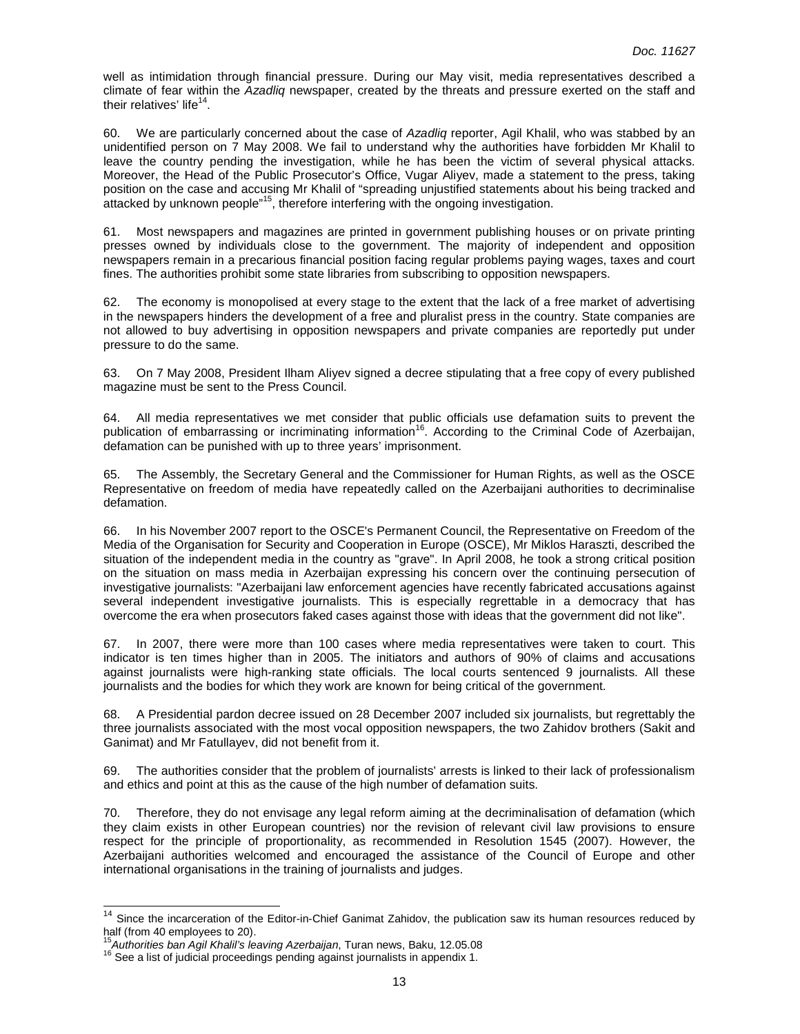well as intimidation through financial pressure. During our May visit, media representatives described a climate of fear within the Azadliq newspaper, created by the threats and pressure exerted on the staff and their relatives' life<sup>14</sup>.

60. We are particularly concerned about the case of Azadliq reporter, Agil Khalil, who was stabbed by an unidentified person on 7 May 2008. We fail to understand why the authorities have forbidden Mr Khalil to leave the country pending the investigation, while he has been the victim of several physical attacks. Moreover, the Head of the Public Prosecutor's Office, Vugar Aliyev, made a statement to the press, taking position on the case and accusing Mr Khalil of "spreading unjustified statements about his being tracked and attacked by unknown people<sup>"15</sup>, therefore interfering with the ongoing investigation.

61. Most newspapers and magazines are printed in government publishing houses or on private printing presses owned by individuals close to the government. The majority of independent and opposition newspapers remain in a precarious financial position facing regular problems paying wages, taxes and court fines. The authorities prohibit some state libraries from subscribing to opposition newspapers.

62. The economy is monopolised at every stage to the extent that the lack of a free market of advertising in the newspapers hinders the development of a free and pluralist press in the country. State companies are not allowed to buy advertising in opposition newspapers and private companies are reportedly put under pressure to do the same.

63. On 7 May 2008, President Ilham Aliyev signed a decree stipulating that a free copy of every published magazine must be sent to the Press Council.

64. All media representatives we met consider that public officials use defamation suits to prevent the publication of embarrassing or incriminating information<sup>16</sup>. According to the Criminal Code of Azerbaijan, defamation can be punished with up to three years' imprisonment.

65. The Assembly, the Secretary General and the Commissioner for Human Rights, as well as the OSCE Representative on freedom of media have repeatedly called on the Azerbaijani authorities to decriminalise defamation.

66. In his November 2007 report to the OSCE's Permanent Council, the Representative on Freedom of the Media of the Organisation for Security and Cooperation in Europe (OSCE), Mr Miklos Haraszti, described the situation of the independent media in the country as "grave". In April 2008, he took a strong critical position on the situation on mass media in Azerbaijan expressing his concern over the continuing persecution of investigative journalists: "Azerbaijani law enforcement agencies have recently fabricated accusations against several independent investigative journalists. This is especially regrettable in a democracy that has overcome the era when prosecutors faked cases against those with ideas that the government did not like".

67. In 2007, there were more than 100 cases where media representatives were taken to court. This indicator is ten times higher than in 2005. The initiators and authors of 90% of claims and accusations against journalists were high-ranking state officials. The local courts sentenced 9 journalists. All these journalists and the bodies for which they work are known for being critical of the government.

68. A Presidential pardon decree issued on 28 December 2007 included six journalists, but regrettably the three journalists associated with the most vocal opposition newspapers, the two Zahidov brothers (Sakit and Ganimat) and Mr Fatullayev, did not benefit from it.

69. The authorities consider that the problem of journalists' arrests is linked to their lack of professionalism and ethics and point at this as the cause of the high number of defamation suits.

70. Therefore, they do not envisage any legal reform aiming at the decriminalisation of defamation (which they claim exists in other European countries) nor the revision of relevant civil law provisions to ensure respect for the principle of proportionality, as recommended in Resolution 1545 (2007). However, the Azerbaijani authorities welcomed and encouraged the assistance of the Council of Europe and other international organisations in the training of journalists and judges.

 $\overline{a}$ 

 $14$  Since the incarceration of the Editor-in-Chief Ganimat Zahidov, the publication saw its human resources reduced by half (from 40 employees to 20).

 $\overline{5}$ Authorities ban Agil Khalil's leaving Azerbaijan, Turan news, Baku, 12.05.08

<sup>16</sup> See a list of judicial proceedings pending against journalists in appendix 1.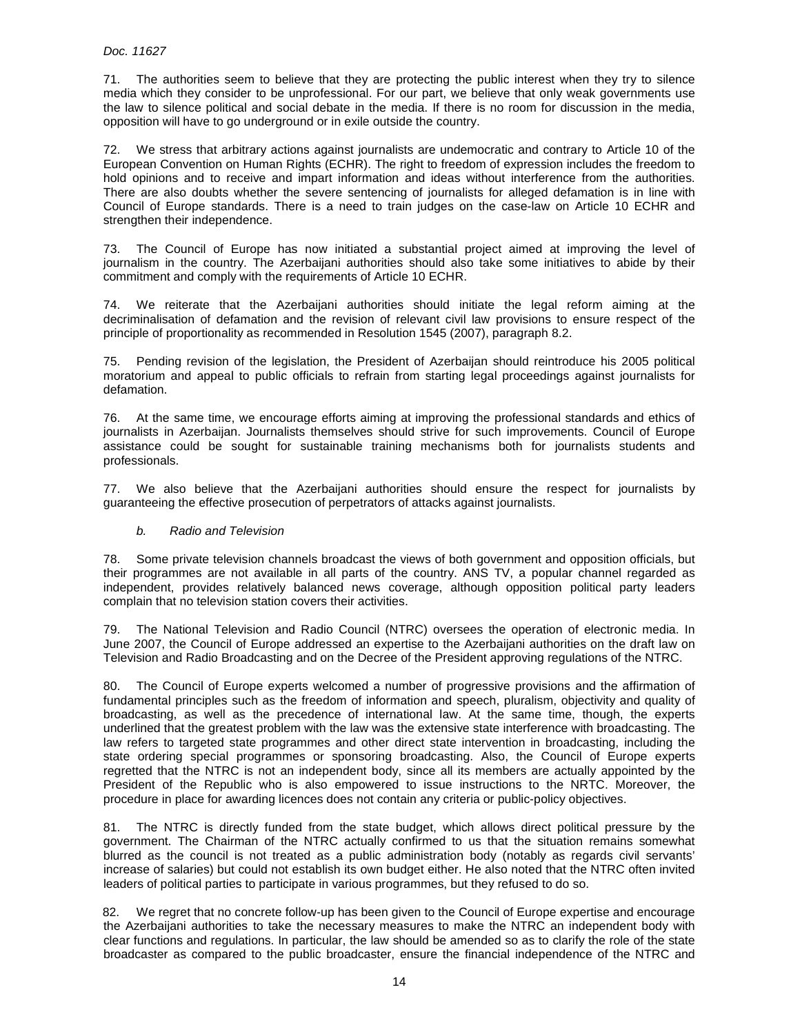71. The authorities seem to believe that they are protecting the public interest when they try to silence media which they consider to be unprofessional. For our part, we believe that only weak governments use the law to silence political and social debate in the media. If there is no room for discussion in the media, opposition will have to go underground or in exile outside the country.

72. We stress that arbitrary actions against journalists are undemocratic and contrary to Article 10 of the European Convention on Human Rights (ECHR). The right to freedom of expression includes the freedom to hold opinions and to receive and impart information and ideas without interference from the authorities. There are also doubts whether the severe sentencing of journalists for alleged defamation is in line with Council of Europe standards. There is a need to train judges on the case-law on Article 10 ECHR and strengthen their independence.

73. The Council of Europe has now initiated a substantial project aimed at improving the level of journalism in the country. The Azerbaijani authorities should also take some initiatives to abide by their commitment and comply with the requirements of Article 10 ECHR.

74. We reiterate that the Azerbaijani authorities should initiate the legal reform aiming at the decriminalisation of defamation and the revision of relevant civil law provisions to ensure respect of the principle of proportionality as recommended in Resolution 1545 (2007), paragraph 8.2.

75. Pending revision of the legislation, the President of Azerbaijan should reintroduce his 2005 political moratorium and appeal to public officials to refrain from starting legal proceedings against journalists for defamation.

76. At the same time, we encourage efforts aiming at improving the professional standards and ethics of journalists in Azerbaijan. Journalists themselves should strive for such improvements. Council of Europe assistance could be sought for sustainable training mechanisms both for journalists students and professionals.

77. We also believe that the Azerbaijani authorities should ensure the respect for journalists by guaranteeing the effective prosecution of perpetrators of attacks against journalists.

# b. Radio and Television

78. Some private television channels broadcast the views of both government and opposition officials, but their programmes are not available in all parts of the country. ANS TV, a popular channel regarded as independent, provides relatively balanced news coverage, although opposition political party leaders complain that no television station covers their activities.

79. The National Television and Radio Council (NTRC) oversees the operation of electronic media. In June 2007, the Council of Europe addressed an expertise to the Azerbaijani authorities on the draft law on Television and Radio Broadcasting and on the Decree of the President approving regulations of the NTRC.

80. The Council of Europe experts welcomed a number of progressive provisions and the affirmation of fundamental principles such as the freedom of information and speech, pluralism, objectivity and quality of broadcasting, as well as the precedence of international law. At the same time, though, the experts underlined that the greatest problem with the law was the extensive state interference with broadcasting. The law refers to targeted state programmes and other direct state intervention in broadcasting, including the state ordering special programmes or sponsoring broadcasting. Also, the Council of Europe experts regretted that the NTRC is not an independent body, since all its members are actually appointed by the President of the Republic who is also empowered to issue instructions to the NRTC. Moreover, the procedure in place for awarding licences does not contain any criteria or public-policy objectives.

81. The NTRC is directly funded from the state budget, which allows direct political pressure by the government. The Chairman of the NTRC actually confirmed to us that the situation remains somewhat blurred as the council is not treated as a public administration body (notably as regards civil servants' increase of salaries) but could not establish its own budget either. He also noted that the NTRC often invited leaders of political parties to participate in various programmes, but they refused to do so.

82. We regret that no concrete follow-up has been given to the Council of Europe expertise and encourage the Azerbaijani authorities to take the necessary measures to make the NTRC an independent body with clear functions and regulations. In particular, the law should be amended so as to clarify the role of the state broadcaster as compared to the public broadcaster, ensure the financial independence of the NTRC and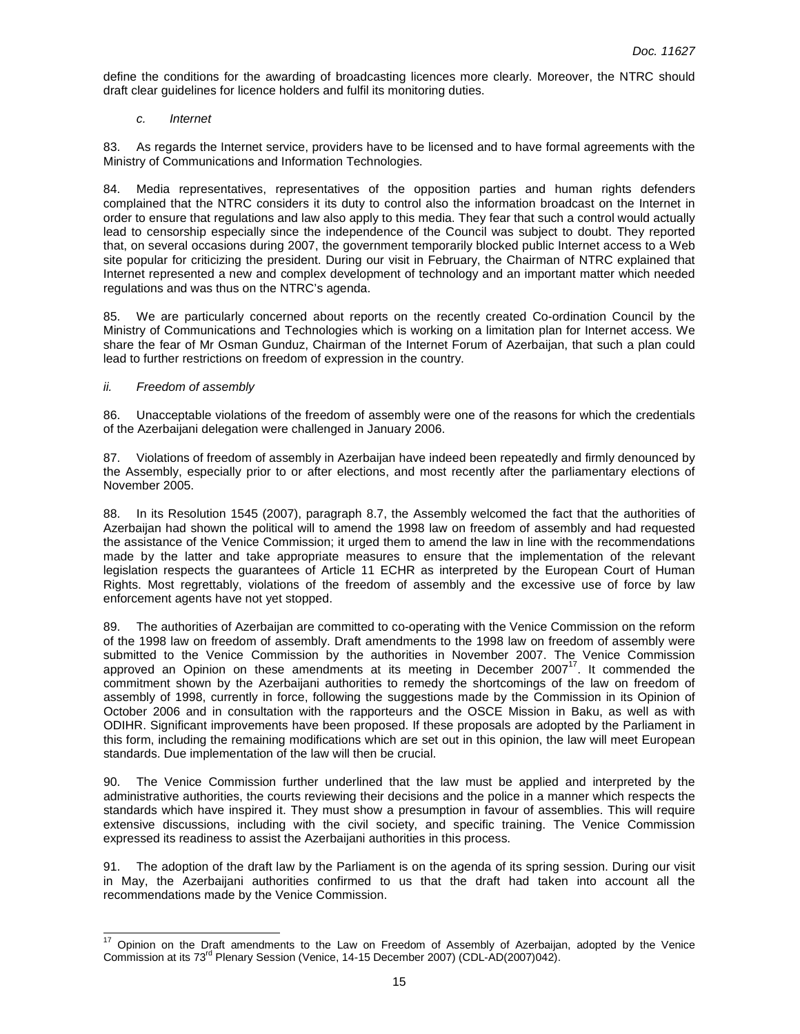define the conditions for the awarding of broadcasting licences more clearly. Moreover, the NTRC should draft clear guidelines for licence holders and fulfil its monitoring duties.

## c. Internet

83. As regards the Internet service, providers have to be licensed and to have formal agreements with the Ministry of Communications and Information Technologies.

84. Media representatives, representatives of the opposition parties and human rights defenders complained that the NTRC considers it its duty to control also the information broadcast on the Internet in order to ensure that regulations and law also apply to this media. They fear that such a control would actually lead to censorship especially since the independence of the Council was subject to doubt. They reported that, on several occasions during 2007, the government temporarily blocked public Internet access to a Web site popular for criticizing the president. During our visit in February, the Chairman of NTRC explained that Internet represented a new and complex development of technology and an important matter which needed regulations and was thus on the NTRC's agenda.

We are particularly concerned about reports on the recently created Co-ordination Council by the Ministry of Communications and Technologies which is working on a limitation plan for Internet access. We share the fear of Mr Osman Gunduz, Chairman of the Internet Forum of Azerbaijan, that such a plan could lead to further restrictions on freedom of expression in the country.

#### ii. Freedom of assembly

86. Unacceptable violations of the freedom of assembly were one of the reasons for which the credentials of the Azerbaijani delegation were challenged in January 2006.

87. Violations of freedom of assembly in Azerbaijan have indeed been repeatedly and firmly denounced by the Assembly, especially prior to or after elections, and most recently after the parliamentary elections of November 2005.

88. In its Resolution 1545 (2007), paragraph 8.7, the Assembly welcomed the fact that the authorities of Azerbaijan had shown the political will to amend the 1998 law on freedom of assembly and had requested the assistance of the Venice Commission; it urged them to amend the law in line with the recommendations made by the latter and take appropriate measures to ensure that the implementation of the relevant legislation respects the guarantees of Article 11 ECHR as interpreted by the European Court of Human Rights. Most regrettably, violations of the freedom of assembly and the excessive use of force by law enforcement agents have not yet stopped.

89. The authorities of Azerbaijan are committed to co-operating with the Venice Commission on the reform of the 1998 law on freedom of assembly. Draft amendments to the 1998 law on freedom of assembly were submitted to the Venice Commission by the authorities in November 2007. The Venice Commission approved an Opinion on these amendments at its meeting in December 2007 $17$ . It commended the commitment shown by the Azerbaijani authorities to remedy the shortcomings of the law on freedom of assembly of 1998, currently in force, following the suggestions made by the Commission in its Opinion of October 2006 and in consultation with the rapporteurs and the OSCE Mission in Baku, as well as with ODIHR. Significant improvements have been proposed. If these proposals are adopted by the Parliament in this form, including the remaining modifications which are set out in this opinion, the law will meet European standards. Due implementation of the law will then be crucial.

90. The Venice Commission further underlined that the law must be applied and interpreted by the administrative authorities, the courts reviewing their decisions and the police in a manner which respects the standards which have inspired it. They must show a presumption in favour of assemblies. This will require extensive discussions, including with the civil society, and specific training. The Venice Commission expressed its readiness to assist the Azerbaijani authorities in this process.

91. The adoption of the draft law by the Parliament is on the agenda of its spring session. During our visit in May, the Azerbaijani authorities confirmed to us that the draft had taken into account all the recommendations made by the Venice Commission.

 $17$ Opinion on the Draft amendments to the Law on Freedom of Assembly of Azerbaijan, adopted by the Venice Commission at its 73rd Plenary Session (Venice, 14-15 December 2007) (CDL-AD(2007)042).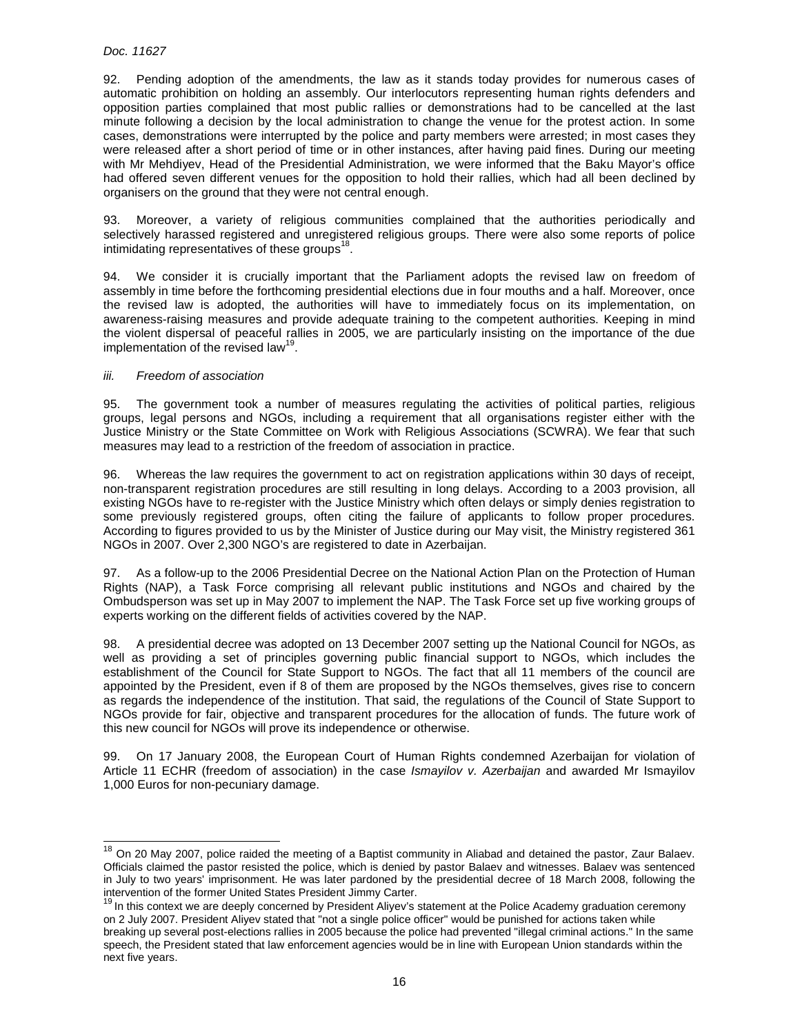## Doc. 11627

92. Pending adoption of the amendments, the law as it stands today provides for numerous cases of automatic prohibition on holding an assembly. Our interlocutors representing human rights defenders and opposition parties complained that most public rallies or demonstrations had to be cancelled at the last minute following a decision by the local administration to change the venue for the protest action. In some cases, demonstrations were interrupted by the police and party members were arrested; in most cases they were released after a short period of time or in other instances, after having paid fines. During our meeting with Mr Mehdiyev, Head of the Presidential Administration, we were informed that the Baku Mayor's office had offered seven different venues for the opposition to hold their rallies, which had all been declined by organisers on the ground that they were not central enough.

93. Moreover, a variety of religious communities complained that the authorities periodically and selectively harassed registered and unregistered religious groups. There were also some reports of police intimidating representatives of these groups $^{18}$ .

94. We consider it is crucially important that the Parliament adopts the revised law on freedom of assembly in time before the forthcoming presidential elections due in four mouths and a half. Moreover, once the revised law is adopted, the authorities will have to immediately focus on its implementation, on awareness-raising measures and provide adequate training to the competent authorities. Keeping in mind the violent dispersal of peaceful rallies in 2005, we are particularly insisting on the importance of the due implementation of the revised law<sup>19</sup>.

## iii. Freedom of association

l

95. The government took a number of measures regulating the activities of political parties, religious groups, legal persons and NGOs, including a requirement that all organisations register either with the Justice Ministry or the State Committee on Work with Religious Associations (SCWRA). We fear that such measures may lead to a restriction of the freedom of association in practice.

96. Whereas the law requires the government to act on registration applications within 30 days of receipt, non-transparent registration procedures are still resulting in long delays. According to a 2003 provision, all existing NGOs have to re-register with the Justice Ministry which often delays or simply denies registration to some previously registered groups, often citing the failure of applicants to follow proper procedures. According to figures provided to us by the Minister of Justice during our May visit, the Ministry registered 361 NGOs in 2007. Over 2,300 NGO's are registered to date in Azerbaijan.

97. As a follow-up to the 2006 Presidential Decree on the National Action Plan on the Protection of Human Rights (NAP), a Task Force comprising all relevant public institutions and NGOs and chaired by the Ombudsperson was set up in May 2007 to implement the NAP. The Task Force set up five working groups of experts working on the different fields of activities covered by the NAP.

98. A presidential decree was adopted on 13 December 2007 setting up the National Council for NGOs, as well as providing a set of principles governing public financial support to NGOs, which includes the establishment of the Council for State Support to NGOs. The fact that all 11 members of the council are appointed by the President, even if 8 of them are proposed by the NGOs themselves, gives rise to concern as regards the independence of the institution. That said, the regulations of the Council of State Support to NGOs provide for fair, objective and transparent procedures for the allocation of funds. The future work of this new council for NGOs will prove its independence or otherwise.

99. On 17 January 2008, the European Court of Human Rights condemned Azerbaijan for violation of Article 11 ECHR (freedom of association) in the case *Ismayilov v. Azerbaijan* and awarded Mr Ismayilov 1,000 Euros for non-pecuniary damage.

<sup>&</sup>lt;sup>18</sup> On 20 May 2007, police raided the meeting of a Baptist community in Aliabad and detained the pastor, Zaur Balaev. Officials claimed the pastor resisted the police, which is denied by pastor Balaev and witnesses. Balaev was sentenced in July to two years' imprisonment. He was later pardoned by the presidential decree of 18 March 2008, following the intervention of the former United States President Jimmy Carter.

<sup>&</sup>lt;sup>19</sup> In this context we are deeply concerned by President Aliyev's statement at the Police Academy graduation ceremony on 2 July 2007. President Aliyev stated that "not a single police officer" would be punished for actions taken while breaking up several post-elections rallies in 2005 because the police had prevented "illegal criminal actions." In the same speech, the President stated that law enforcement agencies would be in line with European Union standards within the next five years.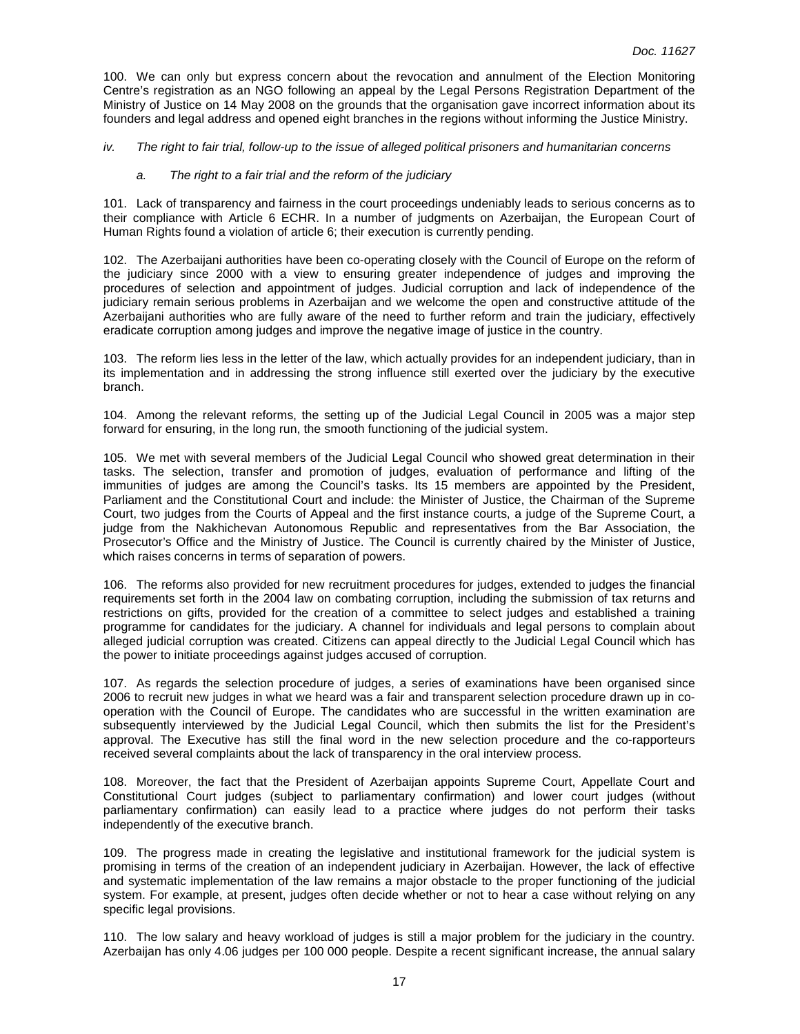100. We can only but express concern about the revocation and annulment of the Election Monitoring Centre's registration as an NGO following an appeal by the Legal Persons Registration Department of the Ministry of Justice on 14 May 2008 on the grounds that the organisation gave incorrect information about its founders and legal address and opened eight branches in the regions without informing the Justice Ministry.

#### iv. The right to fair trial, follow-up to the issue of alleged political prisoners and humanitarian concerns

## a. The right to a fair trial and the reform of the judiciary

101. Lack of transparency and fairness in the court proceedings undeniably leads to serious concerns as to their compliance with Article 6 ECHR. In a number of judgments on Azerbaijan, the European Court of Human Rights found a violation of article 6; their execution is currently pending.

102. The Azerbaijani authorities have been co-operating closely with the Council of Europe on the reform of the judiciary since 2000 with a view to ensuring greater independence of judges and improving the procedures of selection and appointment of judges. Judicial corruption and lack of independence of the judiciary remain serious problems in Azerbaijan and we welcome the open and constructive attitude of the Azerbaijani authorities who are fully aware of the need to further reform and train the judiciary, effectively eradicate corruption among judges and improve the negative image of justice in the country.

103. The reform lies less in the letter of the law, which actually provides for an independent judiciary, than in its implementation and in addressing the strong influence still exerted over the judiciary by the executive branch.

104. Among the relevant reforms, the setting up of the Judicial Legal Council in 2005 was a major step forward for ensuring, in the long run, the smooth functioning of the judicial system.

105. We met with several members of the Judicial Legal Council who showed great determination in their tasks. The selection, transfer and promotion of judges, evaluation of performance and lifting of the immunities of judges are among the Council's tasks. Its 15 members are appointed by the President, Parliament and the Constitutional Court and include: the Minister of Justice, the Chairman of the Supreme Court, two judges from the Courts of Appeal and the first instance courts, a judge of the Supreme Court, a judge from the Nakhichevan Autonomous Republic and representatives from the Bar Association, the Prosecutor's Office and the Ministry of Justice. The Council is currently chaired by the Minister of Justice, which raises concerns in terms of separation of powers.

106. The reforms also provided for new recruitment procedures for judges, extended to judges the financial requirements set forth in the 2004 law on combating corruption, including the submission of tax returns and restrictions on gifts, provided for the creation of a committee to select judges and established a training programme for candidates for the judiciary. A channel for individuals and legal persons to complain about alleged judicial corruption was created. Citizens can appeal directly to the Judicial Legal Council which has the power to initiate proceedings against judges accused of corruption.

107. As regards the selection procedure of judges, a series of examinations have been organised since 2006 to recruit new judges in what we heard was a fair and transparent selection procedure drawn up in cooperation with the Council of Europe. The candidates who are successful in the written examination are subsequently interviewed by the Judicial Legal Council, which then submits the list for the President's approval. The Executive has still the final word in the new selection procedure and the co-rapporteurs received several complaints about the lack of transparency in the oral interview process.

108. Moreover, the fact that the President of Azerbaijan appoints Supreme Court, Appellate Court and Constitutional Court judges (subject to parliamentary confirmation) and lower court judges (without parliamentary confirmation) can easily lead to a practice where judges do not perform their tasks independently of the executive branch.

109. The progress made in creating the legislative and institutional framework for the judicial system is promising in terms of the creation of an independent judiciary in Azerbaijan. However, the lack of effective and systematic implementation of the law remains a major obstacle to the proper functioning of the judicial system. For example, at present, judges often decide whether or not to hear a case without relying on any specific legal provisions.

110. The low salary and heavy workload of judges is still a major problem for the judiciary in the country. Azerbaijan has only 4.06 judges per 100 000 people. Despite a recent significant increase, the annual salary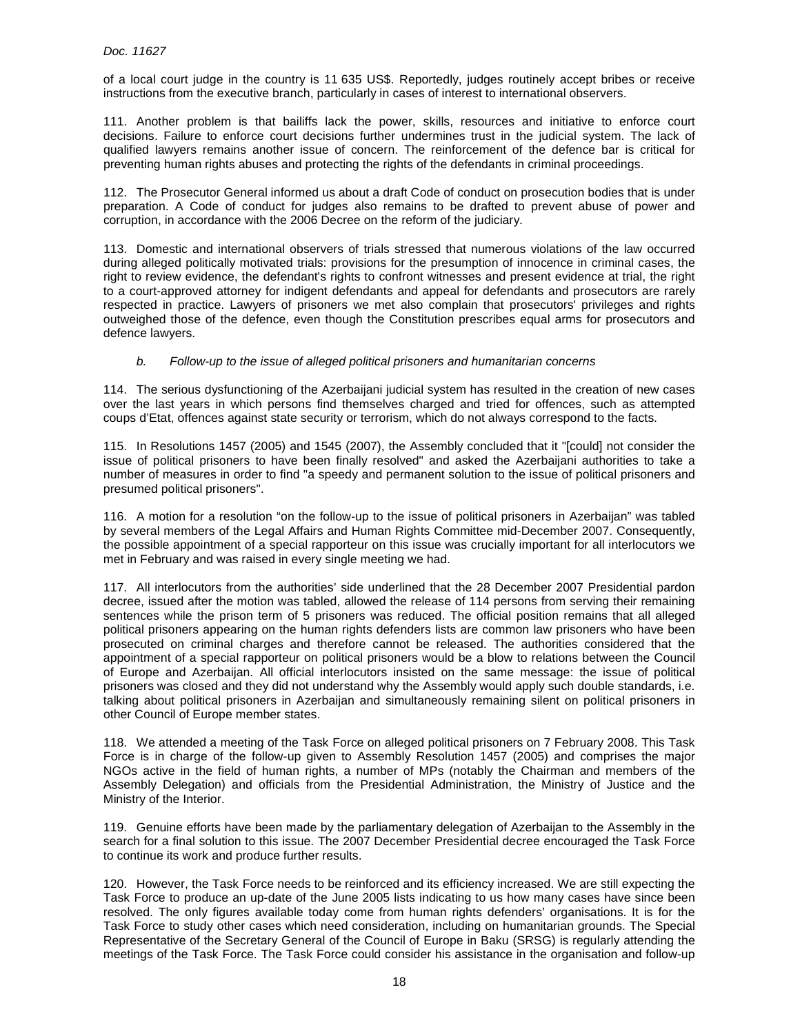of a local court judge in the country is 11 635 US\$. Reportedly, judges routinely accept bribes or receive instructions from the executive branch, particularly in cases of interest to international observers.

111. Another problem is that bailiffs lack the power, skills, resources and initiative to enforce court decisions. Failure to enforce court decisions further undermines trust in the judicial system. The lack of qualified lawyers remains another issue of concern. The reinforcement of the defence bar is critical for preventing human rights abuses and protecting the rights of the defendants in criminal proceedings.

112. The Prosecutor General informed us about a draft Code of conduct on prosecution bodies that is under preparation. A Code of conduct for judges also remains to be drafted to prevent abuse of power and corruption, in accordance with the 2006 Decree on the reform of the judiciary.

113. Domestic and international observers of trials stressed that numerous violations of the law occurred during alleged politically motivated trials: provisions for the presumption of innocence in criminal cases, the right to review evidence, the defendant's rights to confront witnesses and present evidence at trial, the right to a court-approved attorney for indigent defendants and appeal for defendants and prosecutors are rarely respected in practice. Lawyers of prisoners we met also complain that prosecutors' privileges and rights outweighed those of the defence, even though the Constitution prescribes equal arms for prosecutors and defence lawyers.

## b. Follow-up to the issue of alleged political prisoners and humanitarian concerns

114. The serious dysfunctioning of the Azerbaijani judicial system has resulted in the creation of new cases over the last years in which persons find themselves charged and tried for offences, such as attempted coups d'Etat, offences against state security or terrorism, which do not always correspond to the facts.

115. In Resolutions 1457 (2005) and 1545 (2007), the Assembly concluded that it "[could] not consider the issue of political prisoners to have been finally resolved" and asked the Azerbaijani authorities to take a number of measures in order to find "a speedy and permanent solution to the issue of political prisoners and presumed political prisoners".

116. A motion for a resolution "on the follow-up to the issue of political prisoners in Azerbaijan" was tabled by several members of the Legal Affairs and Human Rights Committee mid-December 2007. Consequently, the possible appointment of a special rapporteur on this issue was crucially important for all interlocutors we met in February and was raised in every single meeting we had.

117. All interlocutors from the authorities' side underlined that the 28 December 2007 Presidential pardon decree, issued after the motion was tabled, allowed the release of 114 persons from serving their remaining sentences while the prison term of 5 prisoners was reduced. The official position remains that all alleged political prisoners appearing on the human rights defenders lists are common law prisoners who have been prosecuted on criminal charges and therefore cannot be released. The authorities considered that the appointment of a special rapporteur on political prisoners would be a blow to relations between the Council of Europe and Azerbaijan. All official interlocutors insisted on the same message: the issue of political prisoners was closed and they did not understand why the Assembly would apply such double standards, i.e. talking about political prisoners in Azerbaijan and simultaneously remaining silent on political prisoners in other Council of Europe member states.

118. We attended a meeting of the Task Force on alleged political prisoners on 7 February 2008. This Task Force is in charge of the follow-up given to Assembly Resolution 1457 (2005) and comprises the major NGOs active in the field of human rights, a number of MPs (notably the Chairman and members of the Assembly Delegation) and officials from the Presidential Administration, the Ministry of Justice and the Ministry of the Interior.

119. Genuine efforts have been made by the parliamentary delegation of Azerbaijan to the Assembly in the search for a final solution to this issue. The 2007 December Presidential decree encouraged the Task Force to continue its work and produce further results.

120. However, the Task Force needs to be reinforced and its efficiency increased. We are still expecting the Task Force to produce an up-date of the June 2005 lists indicating to us how many cases have since been resolved. The only figures available today come from human rights defenders' organisations. It is for the Task Force to study other cases which need consideration, including on humanitarian grounds. The Special Representative of the Secretary General of the Council of Europe in Baku (SRSG) is regularly attending the meetings of the Task Force. The Task Force could consider his assistance in the organisation and follow-up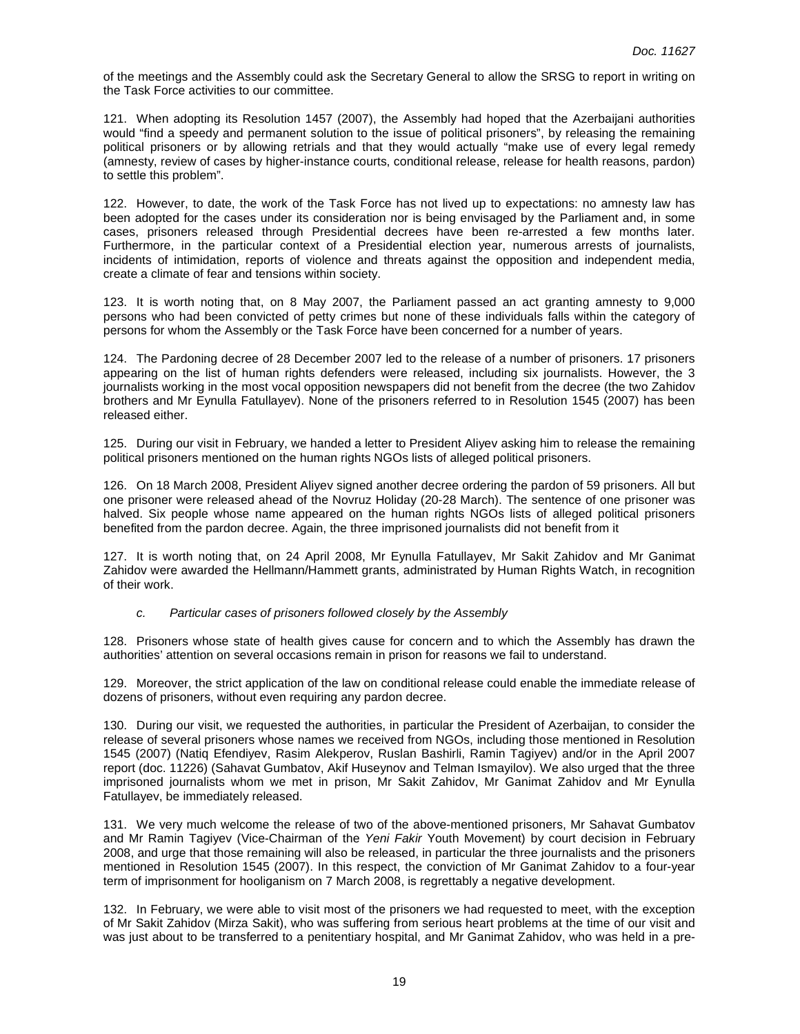of the meetings and the Assembly could ask the Secretary General to allow the SRSG to report in writing on the Task Force activities to our committee.

121. When adopting its Resolution 1457 (2007), the Assembly had hoped that the Azerbaijani authorities would "find a speedy and permanent solution to the issue of political prisoners", by releasing the remaining political prisoners or by allowing retrials and that they would actually "make use of every legal remedy (amnesty, review of cases by higher-instance courts, conditional release, release for health reasons, pardon) to settle this problem".

122. However, to date, the work of the Task Force has not lived up to expectations: no amnesty law has been adopted for the cases under its consideration nor is being envisaged by the Parliament and, in some cases, prisoners released through Presidential decrees have been re-arrested a few months later. Furthermore, in the particular context of a Presidential election year, numerous arrests of journalists, incidents of intimidation, reports of violence and threats against the opposition and independent media, create a climate of fear and tensions within society.

123. It is worth noting that, on 8 May 2007, the Parliament passed an act granting amnesty to 9,000 persons who had been convicted of petty crimes but none of these individuals falls within the category of persons for whom the Assembly or the Task Force have been concerned for a number of years.

124. The Pardoning decree of 28 December 2007 led to the release of a number of prisoners. 17 prisoners appearing on the list of human rights defenders were released, including six journalists. However, the 3 journalists working in the most vocal opposition newspapers did not benefit from the decree (the two Zahidov brothers and Mr Eynulla Fatullayev). None of the prisoners referred to in Resolution 1545 (2007) has been released either.

125. During our visit in February, we handed a letter to President Aliyev asking him to release the remaining political prisoners mentioned on the human rights NGOs lists of alleged political prisoners.

126. On 18 March 2008, President Aliyev signed another decree ordering the pardon of 59 prisoners. All but one prisoner were released ahead of the Novruz Holiday (20-28 March). The sentence of one prisoner was halved. Six people whose name appeared on the human rights NGOs lists of alleged political prisoners benefited from the pardon decree. Again, the three imprisoned journalists did not benefit from it

127. It is worth noting that, on 24 April 2008, Mr Eynulla Fatullayev, Mr Sakit Zahidov and Mr Ganimat Zahidov were awarded the Hellmann/Hammett grants, administrated by Human Rights Watch, in recognition of their work.

#### c. Particular cases of prisoners followed closely by the Assembly

128. Prisoners whose state of health gives cause for concern and to which the Assembly has drawn the authorities' attention on several occasions remain in prison for reasons we fail to understand.

129. Moreover, the strict application of the law on conditional release could enable the immediate release of dozens of prisoners, without even requiring any pardon decree.

130. During our visit, we requested the authorities, in particular the President of Azerbaijan, to consider the release of several prisoners whose names we received from NGOs, including those mentioned in Resolution 1545 (2007) (Natiq Efendiyev, Rasim Alekperov, Ruslan Bashirli, Ramin Tagiyev) and/or in the April 2007 report (doc. 11226) (Sahavat Gumbatov, Akif Huseynov and Telman Ismayilov). We also urged that the three imprisoned journalists whom we met in prison, Mr Sakit Zahidov, Mr Ganimat Zahidov and Mr Eynulla Fatullayev, be immediately released.

131. We very much welcome the release of two of the above-mentioned prisoners, Mr Sahavat Gumbatov and Mr Ramin Tagiyev (Vice-Chairman of the Yeni Fakir Youth Movement) by court decision in February 2008, and urge that those remaining will also be released, in particular the three journalists and the prisoners mentioned in Resolution 1545 (2007). In this respect, the conviction of Mr Ganimat Zahidov to a four-year term of imprisonment for hooliganism on 7 March 2008, is regrettably a negative development.

132. In February, we were able to visit most of the prisoners we had requested to meet, with the exception of Mr Sakit Zahidov (Mirza Sakit), who was suffering from serious heart problems at the time of our visit and was just about to be transferred to a penitentiary hospital, and Mr Ganimat Zahidov, who was held in a pre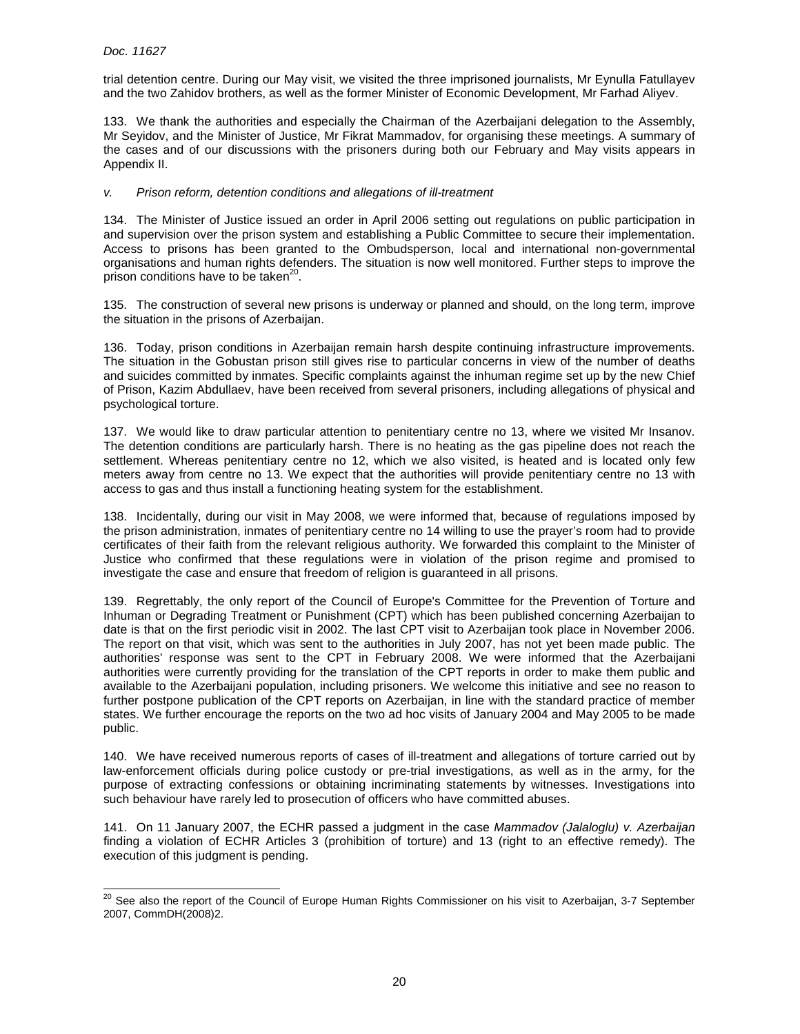trial detention centre. During our May visit, we visited the three imprisoned journalists, Mr Eynulla Fatullayev and the two Zahidov brothers, as well as the former Minister of Economic Development, Mr Farhad Aliyev.

133. We thank the authorities and especially the Chairman of the Azerbaijani delegation to the Assembly, Mr Seyidov, and the Minister of Justice, Mr Fikrat Mammadov, for organising these meetings. A summary of the cases and of our discussions with the prisoners during both our February and May visits appears in Appendix II.

## v. Prison reform, detention conditions and allegations of ill-treatment

134. The Minister of Justice issued an order in April 2006 setting out regulations on public participation in and supervision over the prison system and establishing a Public Committee to secure their implementation. Access to prisons has been granted to the Ombudsperson, local and international non-governmental organisations and human rights defenders. The situation is now well monitored. Further steps to improve the prison conditions have to be taken<sup>20</sup>.

135. The construction of several new prisons is underway or planned and should, on the long term, improve the situation in the prisons of Azerbaijan.

136. Today, prison conditions in Azerbaijan remain harsh despite continuing infrastructure improvements. The situation in the Gobustan prison still gives rise to particular concerns in view of the number of deaths and suicides committed by inmates. Specific complaints against the inhuman regime set up by the new Chief of Prison, Kazim Abdullaev, have been received from several prisoners, including allegations of physical and psychological torture.

137. We would like to draw particular attention to penitentiary centre no 13, where we visited Mr Insanov. The detention conditions are particularly harsh. There is no heating as the gas pipeline does not reach the settlement. Whereas penitentiary centre no 12, which we also visited, is heated and is located only few meters away from centre no 13. We expect that the authorities will provide penitentiary centre no 13 with access to gas and thus install a functioning heating system for the establishment.

138. Incidentally, during our visit in May 2008, we were informed that, because of regulations imposed by the prison administration, inmates of penitentiary centre no 14 willing to use the prayer's room had to provide certificates of their faith from the relevant religious authority. We forwarded this complaint to the Minister of Justice who confirmed that these regulations were in violation of the prison regime and promised to investigate the case and ensure that freedom of religion is guaranteed in all prisons.

139. Regrettably, the only report of the Council of Europe's Committee for the Prevention of Torture and Inhuman or Degrading Treatment or Punishment (CPT) which has been published concerning Azerbaijan to date is that on the first periodic visit in 2002. The last CPT visit to Azerbaijan took place in November 2006. The report on that visit, which was sent to the authorities in July 2007, has not yet been made public. The authorities' response was sent to the CPT in February 2008. We were informed that the Azerbaijani authorities were currently providing for the translation of the CPT reports in order to make them public and available to the Azerbaijani population, including prisoners. We welcome this initiative and see no reason to further postpone publication of the CPT reports on Azerbaijan, in line with the standard practice of member states. We further encourage the reports on the two ad hoc visits of January 2004 and May 2005 to be made public.

140. We have received numerous reports of cases of ill-treatment and allegations of torture carried out by law-enforcement officials during police custody or pre-trial investigations, as well as in the army, for the purpose of extracting confessions or obtaining incriminating statements by witnesses. Investigations into such behaviour have rarely led to prosecution of officers who have committed abuses.

141. On 11 January 2007, the ECHR passed a judgment in the case Mammadov (Jalaloglu) v. Azerbaijan finding a violation of ECHR Articles 3 (prohibition of torture) and 13 (right to an effective remedy). The execution of this judgment is pending.

 $\overline{a}$  $^{20}$  See also the report of the Council of Europe Human Rights Commissioner on his visit to Azerbaijan, 3-7 September 2007, CommDH(2008)2.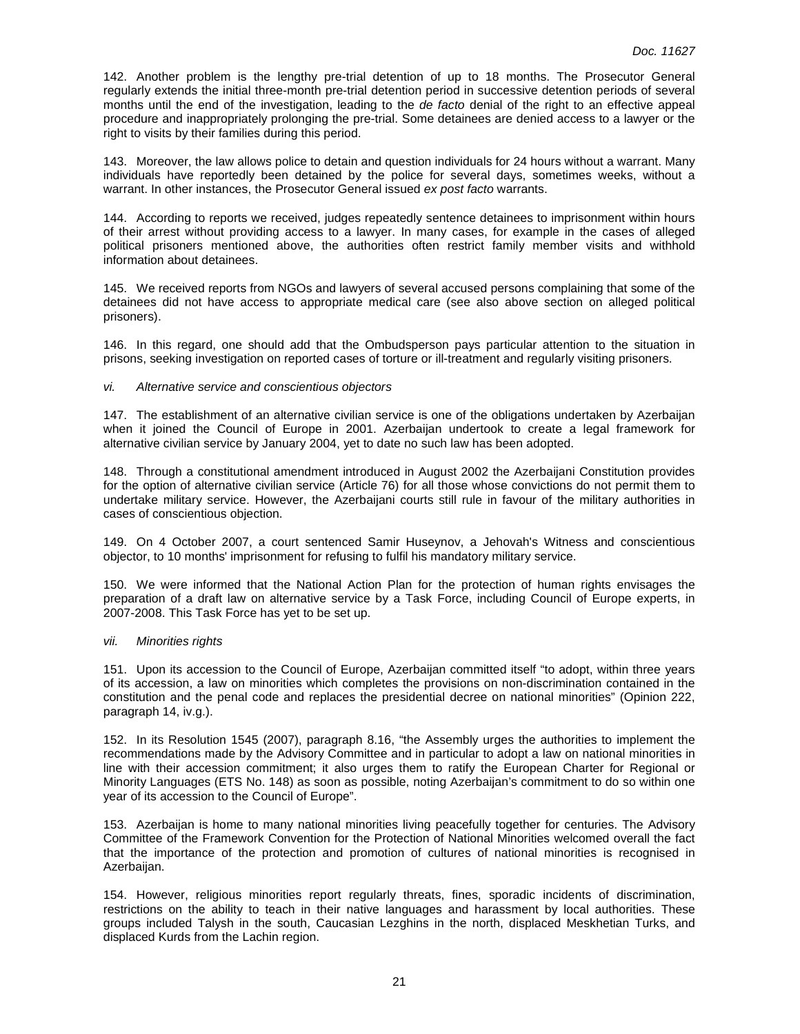142. Another problem is the lengthy pre-trial detention of up to 18 months. The Prosecutor General regularly extends the initial three-month pre-trial detention period in successive detention periods of several months until the end of the investigation, leading to the de facto denial of the right to an effective appeal procedure and inappropriately prolonging the pre-trial. Some detainees are denied access to a lawyer or the right to visits by their families during this period.

143. Moreover, the law allows police to detain and question individuals for 24 hours without a warrant. Many individuals have reportedly been detained by the police for several days, sometimes weeks, without a warrant. In other instances, the Prosecutor General issued ex post facto warrants.

144. According to reports we received, judges repeatedly sentence detainees to imprisonment within hours of their arrest without providing access to a lawyer. In many cases, for example in the cases of alleged political prisoners mentioned above, the authorities often restrict family member visits and withhold information about detainees.

145. We received reports from NGOs and lawyers of several accused persons complaining that some of the detainees did not have access to appropriate medical care (see also above section on alleged political prisoners).

146. In this regard, one should add that the Ombudsperson pays particular attention to the situation in prisons, seeking investigation on reported cases of torture or ill-treatment and regularly visiting prisoners.

#### vi. Alternative service and conscientious objectors

147. The establishment of an alternative civilian service is one of the obligations undertaken by Azerbaijan when it joined the Council of Europe in 2001. Azerbaijan undertook to create a legal framework for alternative civilian service by January 2004, yet to date no such law has been adopted.

148. Through a constitutional amendment introduced in August 2002 the Azerbaijani Constitution provides for the option of alternative civilian service (Article 76) for all those whose convictions do not permit them to undertake military service. However, the Azerbaijani courts still rule in favour of the military authorities in cases of conscientious objection.

149. On 4 October 2007, a court sentenced Samir Huseynov, a Jehovah's Witness and conscientious objector, to 10 months' imprisonment for refusing to fulfil his mandatory military service.

150. We were informed that the National Action Plan for the protection of human rights envisages the preparation of a draft law on alternative service by a Task Force, including Council of Europe experts, in 2007-2008. This Task Force has yet to be set up.

#### vii. Minorities rights

151. Upon its accession to the Council of Europe, Azerbaijan committed itself "to adopt, within three years of its accession, a law on minorities which completes the provisions on non-discrimination contained in the constitution and the penal code and replaces the presidential decree on national minorities" (Opinion 222, paragraph 14, iv.g.).

152. In its Resolution 1545 (2007), paragraph 8.16, "the Assembly urges the authorities to implement the recommendations made by the Advisory Committee and in particular to adopt a law on national minorities in line with their accession commitment; it also urges them to ratify the European Charter for Regional or Minority Languages (ETS No. 148) as soon as possible, noting Azerbaijan's commitment to do so within one year of its accession to the Council of Europe".

153. Azerbaijan is home to many national minorities living peacefully together for centuries. The Advisory Committee of the Framework Convention for the Protection of National Minorities welcomed overall the fact that the importance of the protection and promotion of cultures of national minorities is recognised in Azerbaijan.

154. However, religious minorities report regularly threats, fines, sporadic incidents of discrimination, restrictions on the ability to teach in their native languages and harassment by local authorities. These groups included Talysh in the south, Caucasian Lezghins in the north, displaced Meskhetian Turks, and displaced Kurds from the Lachin region.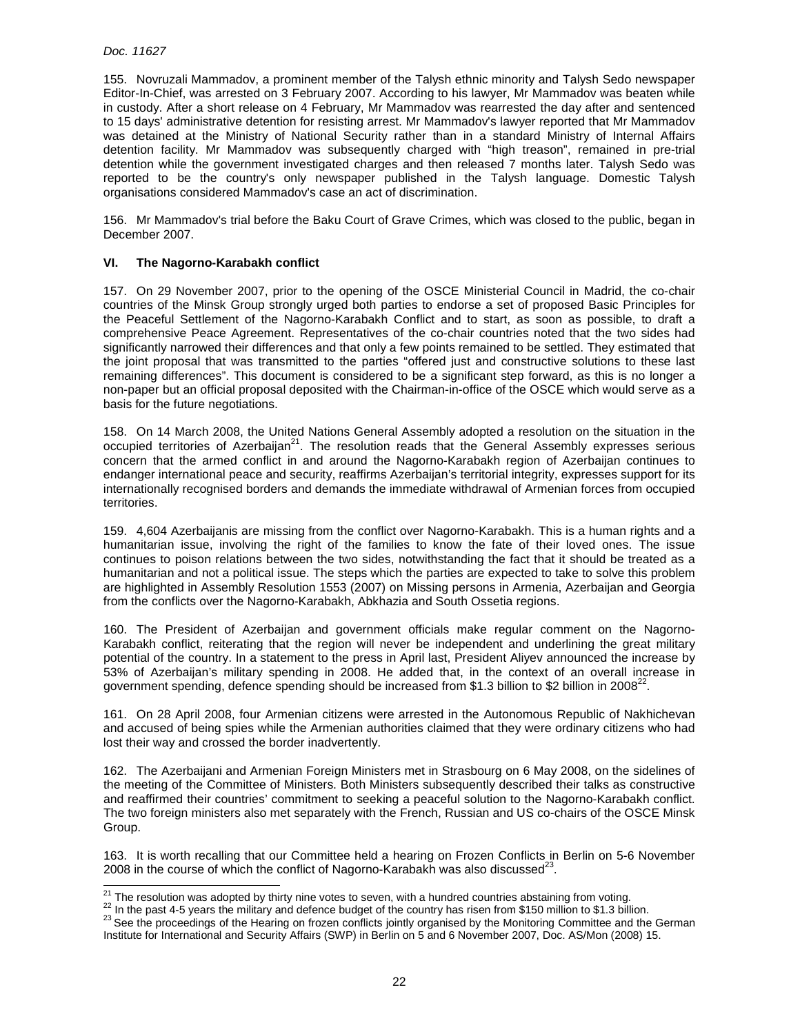$\overline{a}$ 

155. Novruzali Mammadov, a prominent member of the Talysh ethnic minority and Talysh Sedo newspaper Editor-In-Chief, was arrested on 3 February 2007. According to his lawyer, Mr Mammadov was beaten while in custody. After a short release on 4 February, Mr Mammadov was rearrested the day after and sentenced to 15 days' administrative detention for resisting arrest. Mr Mammadov's lawyer reported that Mr Mammadov was detained at the Ministry of National Security rather than in a standard Ministry of Internal Affairs detention facility. Mr Mammadov was subsequently charged with "high treason", remained in pre-trial detention while the government investigated charges and then released 7 months later. Talysh Sedo was reported to be the country's only newspaper published in the Talysh language. Domestic Talysh organisations considered Mammadov's case an act of discrimination.

156. Mr Mammadov's trial before the Baku Court of Grave Crimes, which was closed to the public, began in December 2007.

# **VI. The Nagorno-Karabakh conflict**

157. On 29 November 2007, prior to the opening of the OSCE Ministerial Council in Madrid, the co-chair countries of the Minsk Group strongly urged both parties to endorse a set of proposed Basic Principles for the Peaceful Settlement of the Nagorno-Karabakh Conflict and to start, as soon as possible, to draft a comprehensive Peace Agreement. Representatives of the co-chair countries noted that the two sides had significantly narrowed their differences and that only a few points remained to be settled. They estimated that the joint proposal that was transmitted to the parties "offered just and constructive solutions to these last remaining differences". This document is considered to be a significant step forward, as this is no longer a non-paper but an official proposal deposited with the Chairman-in-office of the OSCE which would serve as a basis for the future negotiations.

158. On 14 March 2008, the United Nations General Assembly adopted a resolution on the situation in the occupied territories of Azerbaijan<sup>21</sup>. The resolution reads that the General Assembly expresses serious concern that the armed conflict in and around the Nagorno-Karabakh region of Azerbaijan continues to endanger international peace and security, reaffirms Azerbaijan's territorial integrity, expresses support for its internationally recognised borders and demands the immediate withdrawal of Armenian forces from occupied territories.

159. 4,604 Azerbaijanis are missing from the conflict over Nagorno-Karabakh. This is a human rights and a humanitarian issue, involving the right of the families to know the fate of their loved ones. The issue continues to poison relations between the two sides, notwithstanding the fact that it should be treated as a humanitarian and not a political issue. The steps which the parties are expected to take to solve this problem are highlighted in Assembly Resolution 1553 (2007) on Missing persons in Armenia, Azerbaijan and Georgia from the conflicts over the Nagorno-Karabakh, Abkhazia and South Ossetia regions.

160. The President of Azerbaijan and government officials make regular comment on the Nagorno-Karabakh conflict, reiterating that the region will never be independent and underlining the great military potential of the country. In a statement to the press in April last, President Aliyev announced the increase by 53% of Azerbaijan's military spending in 2008. He added that, in the context of an overall increase in government spending, defence spending should be increased from \$1.3 billion to \$2 billion in 2008<sup>22</sup>.

161. On 28 April 2008, four Armenian citizens were arrested in the Autonomous Republic of Nakhichevan and accused of being spies while the Armenian authorities claimed that they were ordinary citizens who had lost their way and crossed the border inadvertently.

162. The Azerbaijani and Armenian Foreign Ministers met in Strasbourg on 6 May 2008, on the sidelines of the meeting of the Committee of Ministers. Both Ministers subsequently described their talks as constructive and reaffirmed their countries' commitment to seeking a peaceful solution to the Nagorno-Karabakh conflict. The two foreign ministers also met separately with the French, Russian and US co-chairs of the OSCE Minsk Group.

163. It is worth recalling that our Committee held a hearing on Frozen Conflicts in Berlin on 5-6 November 2008 in the course of which the conflict of Nagorno-Karabakh was also discussed<sup>23</sup>.

<sup>&</sup>lt;sup>21</sup> The resolution was adopted by thirty nine votes to seven, with a hundred countries abstaining from voting.

<sup>&</sup>lt;sup>22</sup> In the past 4-5 years the military and defence budget of the country has risen from \$150 million to \$1.3 billion.

<sup>&</sup>lt;sup>23</sup> See the proceedings of the Hearing on frozen conflicts jointly organised by the Monitoring Committee and the German Institute for International and Security Affairs (SWP) in Berlin on 5 and 6 November 2007, Doc. AS/Mon (2008) 15.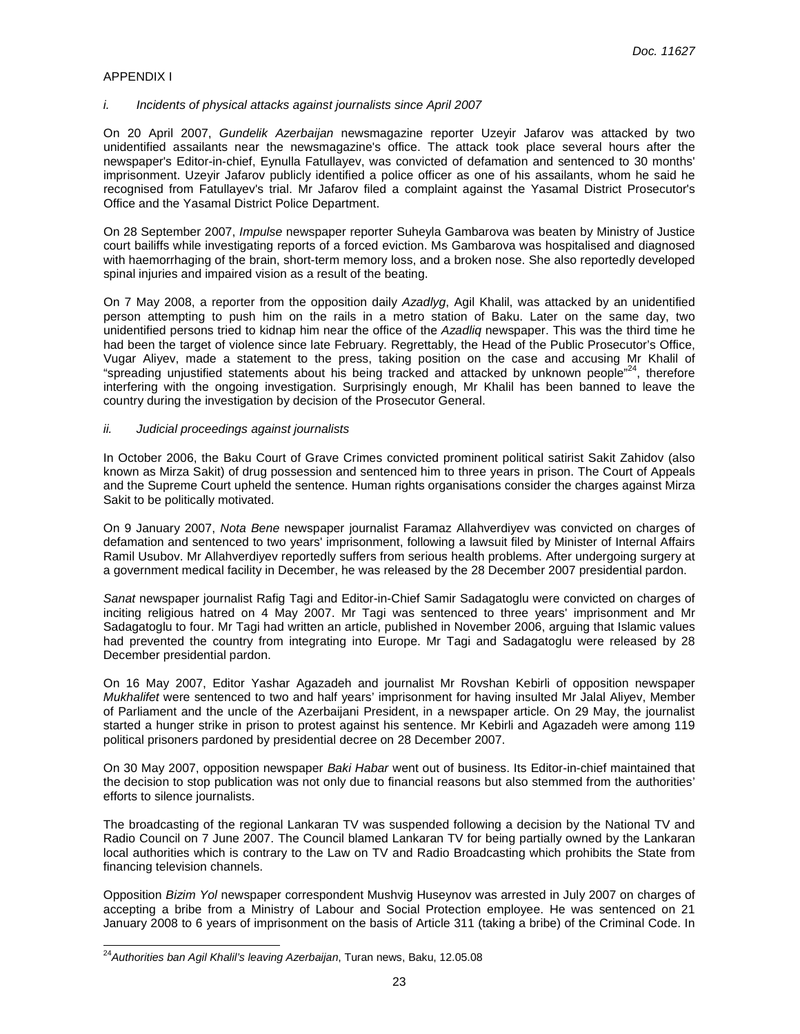# APPENDIX I

#### i. Incidents of physical attacks against journalists since April 2007

On 20 April 2007, Gundelik Azerbaijan newsmagazine reporter Uzeyir Jafarov was attacked by two unidentified assailants near the newsmagazine's office. The attack took place several hours after the newspaper's Editor-in-chief, Eynulla Fatullayev, was convicted of defamation and sentenced to 30 months' imprisonment. Uzeyir Jafarov publicly identified a police officer as one of his assailants, whom he said he recognised from Fatullayev's trial. Mr Jafarov filed a complaint against the Yasamal District Prosecutor's Office and the Yasamal District Police Department.

On 28 September 2007, Impulse newspaper reporter Suheyla Gambarova was beaten by Ministry of Justice court bailiffs while investigating reports of a forced eviction. Ms Gambarova was hospitalised and diagnosed with haemorrhaging of the brain, short-term memory loss, and a broken nose. She also reportedly developed spinal injuries and impaired vision as a result of the beating.

On 7 May 2008, a reporter from the opposition daily Azadlyg, Agil Khalil, was attacked by an unidentified person attempting to push him on the rails in a metro station of Baku. Later on the same day, two unidentified persons tried to kidnap him near the office of the Azadliq newspaper. This was the third time he had been the target of violence since late February. Regrettably, the Head of the Public Prosecutor's Office, Vugar Aliyev, made a statement to the press, taking position on the case and accusing Mr Khalil of "spreading unjustified statements about his being tracked and attacked by unknown people"<sup>24</sup>, therefore interfering with the ongoing investigation. Surprisingly enough, Mr Khalil has been banned to leave the country during the investigation by decision of the Prosecutor General.

#### ii. Judicial proceedings against journalists

In October 2006, the Baku Court of Grave Crimes convicted prominent political satirist Sakit Zahidov (also known as Mirza Sakit) of drug possession and sentenced him to three years in prison. The Court of Appeals and the Supreme Court upheld the sentence. Human rights organisations consider the charges against Mirza Sakit to be politically motivated.

On 9 January 2007, Nota Bene newspaper journalist Faramaz Allahverdiyev was convicted on charges of defamation and sentenced to two years' imprisonment, following a lawsuit filed by Minister of Internal Affairs Ramil Usubov. Mr Allahverdiyev reportedly suffers from serious health problems. After undergoing surgery at a government medical facility in December, he was released by the 28 December 2007 presidential pardon.

Sanat newspaper journalist Rafig Tagi and Editor-in-Chief Samir Sadagatoglu were convicted on charges of inciting religious hatred on 4 May 2007. Mr Tagi was sentenced to three years' imprisonment and Mr Sadagatoglu to four. Mr Tagi had written an article, published in November 2006, arguing that Islamic values had prevented the country from integrating into Europe. Mr Tagi and Sadagatoglu were released by 28 December presidential pardon.

On 16 May 2007, Editor Yashar Agazadeh and journalist Mr Rovshan Kebirli of opposition newspaper Mukhalifet were sentenced to two and half years' imprisonment for having insulted Mr Jalal Aliyev, Member of Parliament and the uncle of the Azerbaijani President, in a newspaper article. On 29 May, the journalist started a hunger strike in prison to protest against his sentence. Mr Kebirli and Agazadeh were among 119 political prisoners pardoned by presidential decree on 28 December 2007.

On 30 May 2007, opposition newspaper Baki Habar went out of business. Its Editor-in-chief maintained that the decision to stop publication was not only due to financial reasons but also stemmed from the authorities' efforts to silence journalists.

The broadcasting of the regional Lankaran TV was suspended following a decision by the National TV and Radio Council on 7 June 2007. The Council blamed Lankaran TV for being partially owned by the Lankaran local authorities which is contrary to the Law on TV and Radio Broadcasting which prohibits the State from financing television channels.

Opposition Bizim Yol newspaper correspondent Mushvig Huseynov was arrested in July 2007 on charges of accepting a bribe from a Ministry of Labour and Social Protection employee. He was sentenced on 21 January 2008 to 6 years of imprisonment on the basis of Article 311 (taking a bribe) of the Criminal Code. In

 $\overline{a}$ 

<sup>&</sup>lt;sup>24</sup>Authorities *ban Agil Khalil's leaving Azerbaijan*, Turan news, Baku, 12.05.08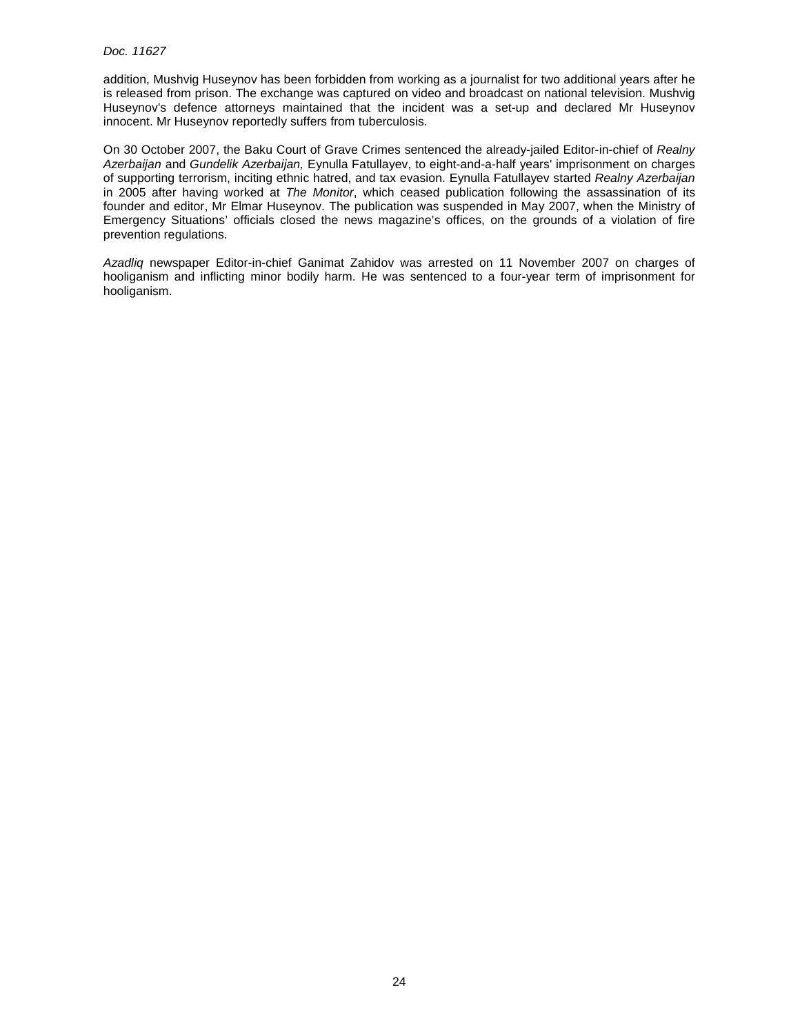### Doc. 11627

addition, Mushvig Huseynov has been forbidden from working as a journalist for two additional years after he is released from prison. The exchange was captured on video and broadcast on national television. Mushvig Huseynov's defence attorneys maintained that the incident was a set-up and declared Mr Huseynov innocent. Mr Huseynov reportedly suffers from tuberculosis.

On 30 October 2007, the Baku Court of Grave Crimes sentenced the already-jailed Editor-in-chief of Realny Azerbaijan and Gundelik Azerbaijan, Eynulla Fatullayev, to eight-and-a-half years' imprisonment on charges of supporting terrorism, inciting ethnic hatred, and tax evasion. Eynulla Fatullayev started Realny Azerbaijan in 2005 after having worked at The Monitor, which ceased publication following the assassination of its founder and editor, Mr Elmar Huseynov. The publication was suspended in May 2007, when the Ministry of Emergency Situations' officials closed the news magazine's offices, on the grounds of a violation of fire prevention regulations.

Azadliq newspaper Editor-in-chief Ganimat Zahidov was arrested on 11 November 2007 on charges of hooliganism and inflicting minor bodily harm. He was sentenced to a four-year term of imprisonment for hooliganism.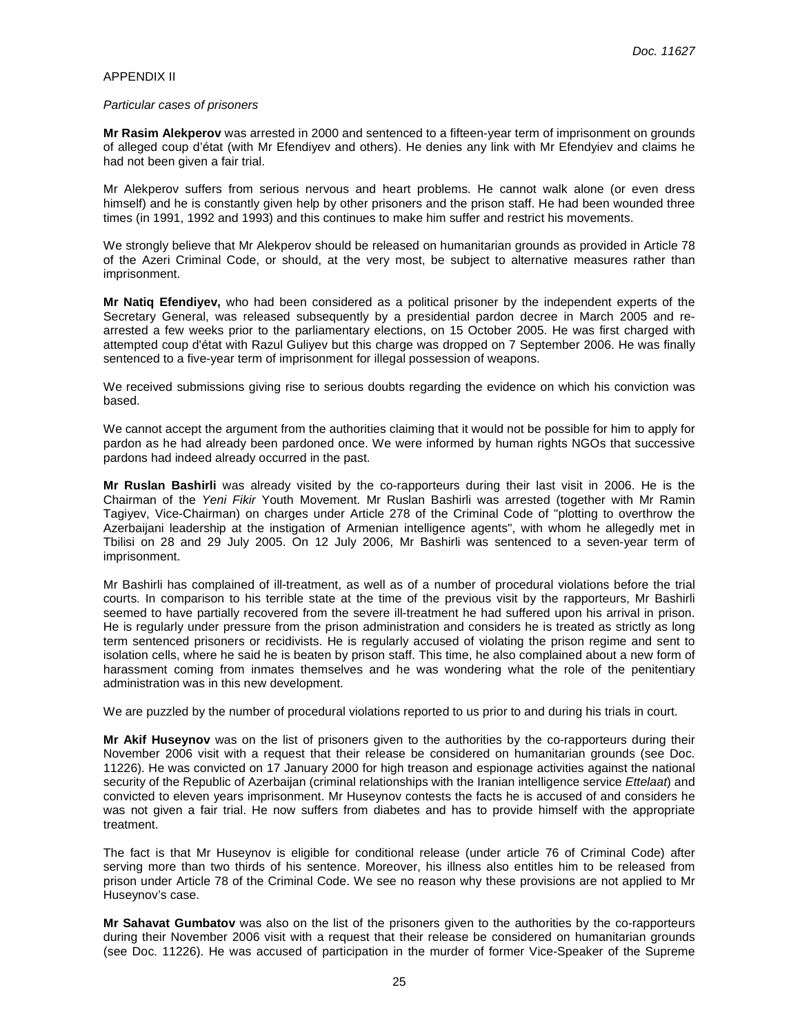#### APPENDIX II

#### Particular cases of prisoners

**Mr Rasim Alekperov** was arrested in 2000 and sentenced to a fifteen-year term of imprisonment on grounds of alleged coup d'état (with Mr Efendiyev and others). He denies any link with Mr Efendyiev and claims he had not been given a fair trial.

Mr Alekperov suffers from serious nervous and heart problems. He cannot walk alone (or even dress himself) and he is constantly given help by other prisoners and the prison staff. He had been wounded three times (in 1991, 1992 and 1993) and this continues to make him suffer and restrict his movements.

We strongly believe that Mr Alekperov should be released on humanitarian grounds as provided in Article 78 of the Azeri Criminal Code, or should, at the very most, be subject to alternative measures rather than imprisonment.

**Mr Natiq Efendiyev,** who had been considered as a political prisoner by the independent experts of the Secretary General, was released subsequently by a presidential pardon decree in March 2005 and rearrested a few weeks prior to the parliamentary elections, on 15 October 2005. He was first charged with attempted coup d'état with Razul Guliyev but this charge was dropped on 7 September 2006. He was finally sentenced to a five-year term of imprisonment for illegal possession of weapons.

We received submissions giving rise to serious doubts regarding the evidence on which his conviction was based.

We cannot accept the argument from the authorities claiming that it would not be possible for him to apply for pardon as he had already been pardoned once. We were informed by human rights NGOs that successive pardons had indeed already occurred in the past.

**Mr Ruslan Bashirli** was already visited by the co-rapporteurs during their last visit in 2006. He is the Chairman of the Yeni Fikir Youth Movement. Mr Ruslan Bashirli was arrested (together with Mr Ramin Tagiyev, Vice-Chairman) on charges under Article 278 of the Criminal Code of "plotting to overthrow the Azerbaijani leadership at the instigation of Armenian intelligence agents", with whom he allegedly met in Tbilisi on 28 and 29 July 2005. On 12 July 2006, Mr Bashirli was sentenced to a seven-year term of imprisonment.

Mr Bashirli has complained of ill-treatment, as well as of a number of procedural violations before the trial courts. In comparison to his terrible state at the time of the previous visit by the rapporteurs, Mr Bashirli seemed to have partially recovered from the severe ill-treatment he had suffered upon his arrival in prison. He is regularly under pressure from the prison administration and considers he is treated as strictly as long term sentenced prisoners or recidivists. He is regularly accused of violating the prison regime and sent to isolation cells, where he said he is beaten by prison staff. This time, he also complained about a new form of harassment coming from inmates themselves and he was wondering what the role of the penitentiary administration was in this new development.

We are puzzled by the number of procedural violations reported to us prior to and during his trials in court.

**Mr Akif Huseynov** was on the list of prisoners given to the authorities by the co-rapporteurs during their November 2006 visit with a request that their release be considered on humanitarian grounds (see Doc. 11226). He was convicted on 17 January 2000 for high treason and espionage activities against the national security of the Republic of Azerbaijan (criminal relationships with the Iranian intelligence service Ettelaat) and convicted to eleven years imprisonment. Mr Huseynov contests the facts he is accused of and considers he was not given a fair trial. He now suffers from diabetes and has to provide himself with the appropriate treatment.

The fact is that Mr Huseynov is eligible for conditional release (under article 76 of Criminal Code) after serving more than two thirds of his sentence. Moreover, his illness also entitles him to be released from prison under Article 78 of the Criminal Code. We see no reason why these provisions are not applied to Mr Huseynov's case.

**Mr Sahavat Gumbatov** was also on the list of the prisoners given to the authorities by the co-rapporteurs during their November 2006 visit with a request that their release be considered on humanitarian grounds (see Doc. 11226). He was accused of participation in the murder of former Vice-Speaker of the Supreme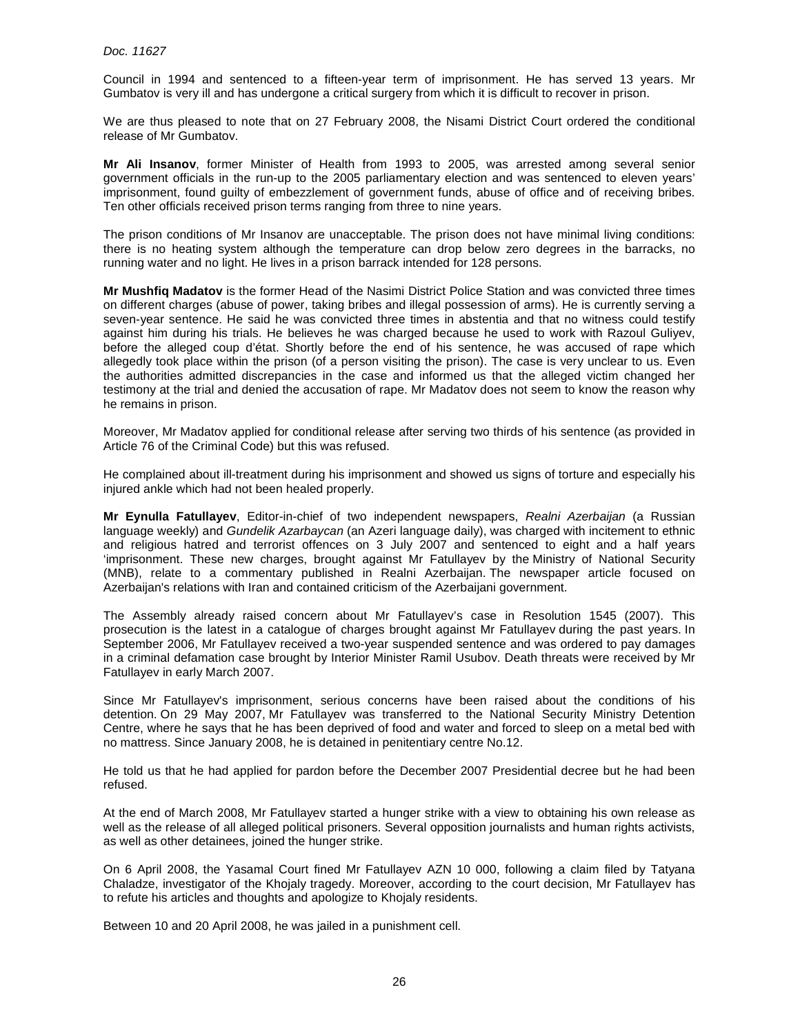Council in 1994 and sentenced to a fifteen-year term of imprisonment. He has served 13 years. Mr Gumbatov is very ill and has undergone a critical surgery from which it is difficult to recover in prison.

We are thus pleased to note that on 27 February 2008, the Nisami District Court ordered the conditional release of Mr Gumbatov.

**Mr Ali Insanov**, former Minister of Health from 1993 to 2005, was arrested among several senior government officials in the run-up to the 2005 parliamentary election and was sentenced to eleven years' imprisonment, found guilty of embezzlement of government funds, abuse of office and of receiving bribes. Ten other officials received prison terms ranging from three to nine years.

The prison conditions of Mr Insanov are unacceptable. The prison does not have minimal living conditions: there is no heating system although the temperature can drop below zero degrees in the barracks, no running water and no light. He lives in a prison barrack intended for 128 persons.

**Mr Mushfiq Madatov** is the former Head of the Nasimi District Police Station and was convicted three times on different charges (abuse of power, taking bribes and illegal possession of arms). He is currently serving a seven-year sentence. He said he was convicted three times in abstentia and that no witness could testify against him during his trials. He believes he was charged because he used to work with Razoul Guliyev, before the alleged coup d'état. Shortly before the end of his sentence, he was accused of rape which allegedly took place within the prison (of a person visiting the prison). The case is very unclear to us. Even the authorities admitted discrepancies in the case and informed us that the alleged victim changed her testimony at the trial and denied the accusation of rape. Mr Madatov does not seem to know the reason why he remains in prison.

Moreover, Mr Madatov applied for conditional release after serving two thirds of his sentence (as provided in Article 76 of the Criminal Code) but this was refused.

He complained about ill-treatment during his imprisonment and showed us signs of torture and especially his injured ankle which had not been healed properly.

**Mr Eynulla Fatullayev**, Editor-in-chief of two independent newspapers, Realni Azerbaijan (a Russian language weekly) and Gundelik Azarbaycan (an Azeri language daily), was charged with incitement to ethnic and religious hatred and terrorist offences on 3 July 2007 and sentenced to eight and a half years 'imprisonment. These new charges, brought against Mr Fatullayev by the Ministry of National Security (MNB), relate to a commentary published in Realni Azerbaijan. The newspaper article focused on Azerbaijan's relations with Iran and contained criticism of the Azerbaijani government.

The Assembly already raised concern about Mr Fatullayev's case in Resolution 1545 (2007). This prosecution is the latest in a catalogue of charges brought against Mr Fatullayev during the past years. In September 2006, Mr Fatullayev received a two-year suspended sentence and was ordered to pay damages in a criminal defamation case brought by Interior Minister Ramil Usubov. Death threats were received by Mr Fatullayev in early March 2007.

Since Mr Fatullayev's imprisonment, serious concerns have been raised about the conditions of his detention. On 29 May 2007, Mr Fatullayev was transferred to the National Security Ministry Detention Centre, where he says that he has been deprived of food and water and forced to sleep on a metal bed with no mattress. Since January 2008, he is detained in penitentiary centre No.12.

He told us that he had applied for pardon before the December 2007 Presidential decree but he had been refused.

At the end of March 2008, Mr Fatullayev started a hunger strike with a view to obtaining his own release as well as the release of all alleged political prisoners. Several opposition journalists and human rights activists, as well as other detainees, joined the hunger strike.

On 6 April 2008, the Yasamal Court fined Mr Fatullayev AZN 10 000, following a claim filed by Tatyana Chaladze, investigator of the Khojaly tragedy. Moreover, according to the court decision, Mr Fatullayev has to refute his articles and thoughts and apologize to Khojaly residents.

Between 10 and 20 April 2008, he was jailed in a punishment cell.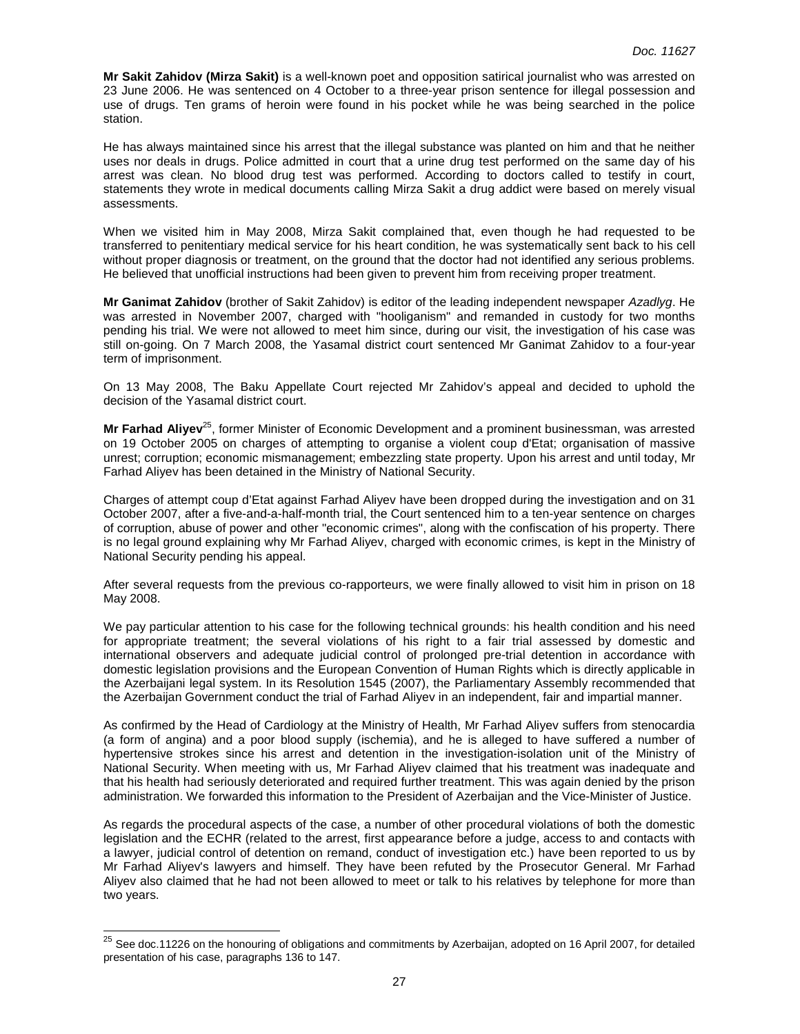**Mr Sakit Zahidov (Mirza Sakit)** is a well-known poet and opposition satirical journalist who was arrested on 23 June 2006. He was sentenced on 4 October to a three-year prison sentence for illegal possession and use of drugs. Ten grams of heroin were found in his pocket while he was being searched in the police station.

He has always maintained since his arrest that the illegal substance was planted on him and that he neither uses nor deals in drugs. Police admitted in court that a urine drug test performed on the same day of his arrest was clean. No blood drug test was performed. According to doctors called to testify in court, statements they wrote in medical documents calling Mirza Sakit a drug addict were based on merely visual assessments.

When we visited him in May 2008, Mirza Sakit complained that, even though he had requested to be transferred to penitentiary medical service for his heart condition, he was systematically sent back to his cell without proper diagnosis or treatment, on the ground that the doctor had not identified any serious problems. He believed that unofficial instructions had been given to prevent him from receiving proper treatment.

**Mr Ganimat Zahidov** (brother of Sakit Zahidov) is editor of the leading independent newspaper Azadlyg. He was arrested in November 2007, charged with "hooliganism" and remanded in custody for two months pending his trial. We were not allowed to meet him since, during our visit, the investigation of his case was still on-going. On 7 March 2008, the Yasamal district court sentenced Mr Ganimat Zahidov to a four-year term of imprisonment.

On 13 May 2008, The Baku Appellate Court rejected Mr Zahidov's appeal and decided to uphold the decision of the Yasamal district court.

**Mr Farhad Aliyev**<sup>25</sup>, former Minister of Economic Development and a prominent businessman, was arrested on 19 October 2005 on charges of attempting to organise a violent coup d'Etat; organisation of massive unrest; corruption; economic mismanagement; embezzling state property. Upon his arrest and until today, Mr Farhad Aliyev has been detained in the Ministry of National Security.

Charges of attempt coup d'Etat against Farhad Aliyev have been dropped during the investigation and on 31 October 2007, after a five-and-a-half-month trial, the Court sentenced him to a ten-year sentence on charges of corruption, abuse of power and other "economic crimes", along with the confiscation of his property. There is no legal ground explaining why Mr Farhad Aliyev, charged with economic crimes, is kept in the Ministry of National Security pending his appeal.

After several requests from the previous co-rapporteurs, we were finally allowed to visit him in prison on 18 May 2008.

We pay particular attention to his case for the following technical grounds: his health condition and his need for appropriate treatment; the several violations of his right to a fair trial assessed by domestic and international observers and adequate judicial control of prolonged pre-trial detention in accordance with domestic legislation provisions and the European Convention of Human Rights which is directly applicable in the Azerbaijani legal system. In its Resolution 1545 (2007), the Parliamentary Assembly recommended that the Azerbaijan Government conduct the trial of Farhad Aliyev in an independent, fair and impartial manner.

As confirmed by the Head of Cardiology at the Ministry of Health, Mr Farhad Aliyev suffers from stenocardia (a form of angina) and a poor blood supply (ischemia), and he is alleged to have suffered a number of hypertensive strokes since his arrest and detention in the investigation-isolation unit of the Ministry of National Security. When meeting with us, Mr Farhad Aliyev claimed that his treatment was inadequate and that his health had seriously deteriorated and required further treatment. This was again denied by the prison administration. We forwarded this information to the President of Azerbaijan and the Vice-Minister of Justice.

As regards the procedural aspects of the case, a number of other procedural violations of both the domestic legislation and the ECHR (related to the arrest, first appearance before a judge, access to and contacts with a lawyer, judicial control of detention on remand, conduct of investigation etc.) have been reported to us by Mr Farhad Aliyev's lawyers and himself. They have been refuted by the Prosecutor General. Mr Farhad Aliyev also claimed that he had not been allowed to meet or talk to his relatives by telephone for more than two years.

 $\overline{a}$ 

 $^{25}$  See doc.11226 on the honouring of obligations and commitments by Azerbaijan, adopted on 16 April 2007, for detailed presentation of his case, paragraphs 136 to 147.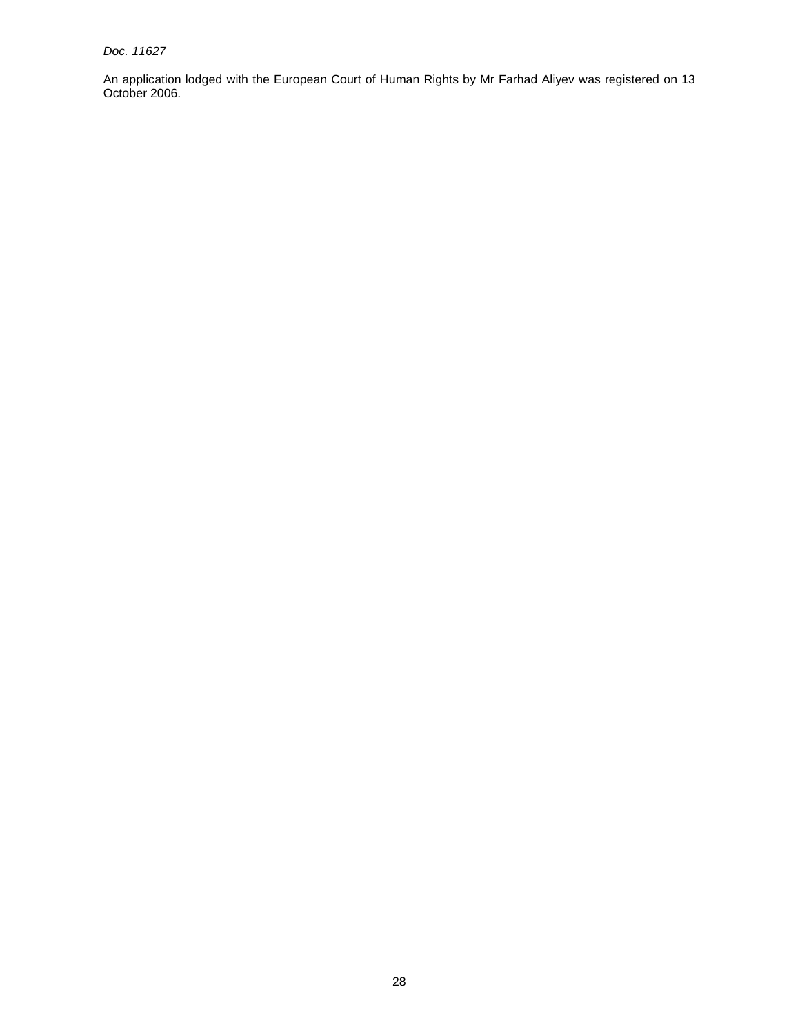Doc. 11627

An application lodged with the European Court of Human Rights by Mr Farhad Aliyev was registered on 13 October 2006.